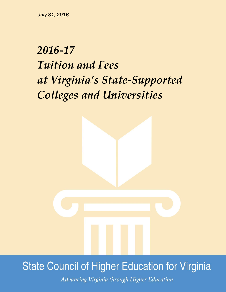# *2016-17 Tuition and Fees at Virginia's State-Supported Colleges and Universities*



## **State Council of Higher Education for Virginia**

Advancing Virginia through Higher Education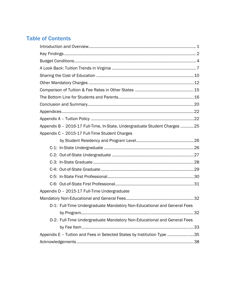### Table of Contents

| Appendix B - 2016-17 Full-Time, In-State, Undergraduate Student Charges 25 |  |
|----------------------------------------------------------------------------|--|
| Appendix C - 2015-17 Full-Time Student Charges                             |  |
|                                                                            |  |
|                                                                            |  |
|                                                                            |  |
|                                                                            |  |
|                                                                            |  |
|                                                                            |  |
|                                                                            |  |
| Appendix D - 2015-17 Full-Time Undergraduate                               |  |
|                                                                            |  |
| D-1: Full-Time Undergraduate Mandatory Non-Educational and General Fees    |  |
|                                                                            |  |
| D-2: Full-Time Undergraduate Mandatory Non-Educational and General Fees    |  |
|                                                                            |  |
| Appendix E - Tuition and Fees in Selected States by Institution Type 35    |  |
|                                                                            |  |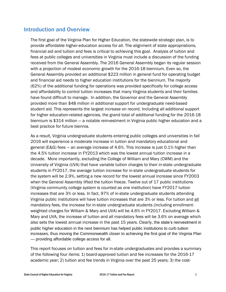#### Introduction and Overview

The first goal of the Virginia Plan for Higher Education, the statewide strategic plan, is to provide affordable higher-education access for all. The alignment of state appropriations, financial aid and tuition and fees is critical to achieving this goal. Analysis of tuition and fees at public colleges and universities in Virginia must include a discussion of the funding received from the General Assembly. The 2016 General Assembly began its regular session with a projection of modest economic growth for the 2016-18 biennium. Even so, the General Assembly provided an additional \$223 million in general fund for operating budget and financial aid needs to higher education institutions for the biennium. The majority (62%) of the additional funding for operations was provided specifically for college access and affordability to control tuition increases that many Virginia students and their families have found difficult to manage. In addition, the Governor and the General Assembly provided more than \$48 million in additional support for undergraduate need-based student aid. This represents the largest increase on record. Including all additional support for higher education-related agencies, the grand total of additional funding for the 2016-18 biennium is \$314 million — a notable reinvestment in Virginia public higher education and a best practice for future biennia.

As a result, Virginia undergraduate students entering public colleges and universities in fall 2016 will experience a moderate increase in tuition and mandatory educational and general (E&G) fees — an average increase of 4.6%. This increase is just 0.1% higher than the 4.5% tuition increase in FY2013 which was the lowest annual tuition increase in a decade. More importantly, excluding the College of William and Mary (CWM) and the University of Virginia (UVA) that have variable tuition charges to their in-state undergraduate students in FY2017, the average tuition increase for in-state undergraduate students for the system will be 2.9%, setting a new record for the lowest annual increase since FY2003 when the General Assembly lifted the tuition freeze. Twelve out of 17 public institutions (Virginia community college system is counted as one institution) have FY2017 tuition increases that are 3% or less. In fact, 97% of in-state undergraduate students attending Virginia public institutions will have tuition increases that are 3% or less. For tuition and all mandatory fees, the increase for in-state undergraduate students (including enrollmentweighted charges for William & Mary and UVA) will be 4.6% in FY2017. Excluding William & Mary and UVA, the increase of tuition and all mandatory fees will be 3.6% on average which also sets the lowest annual increase in the past 15 years. Clearly, the state's reinvestment in public higher education in the next biennium has helped public institutions to curb tuition increases, thus moving the Commonwealth closer to achieving the first goal of the Virginia Plan — providing affordable college access for all.

This report focuses on tuition and fees for in-state undergraduates and provides a summary of the following four items: 1) board-approved tuition and fee increases for the 2016-17 academic year; 2) tuition and fee trends in Virginia over the past 25 years; 3) the cost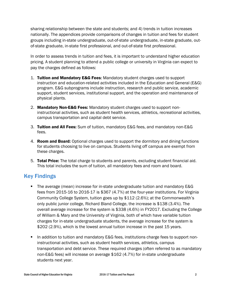sharing relationship between the state and students; and 4) trends in tuition increases nationally. The appendices provide comparisons of changes in tuition and fees for student groups including in-state undergraduate, out-of-state undergraduate, in-state graduate, outof-state graduate, in-state first professional, and out-of-state first professional.

In order to assess trends in tuition and fees, it is important to understand higher education pricing. A student planning to attend a public college or university in Virginia can expect to pay the charges defined as follows:

- 1. Tuition and Mandatory E&G Fees:Mandatory student charges used to support instruction and education-related activities included in the Education and General (E&G) program. E&G subprograms include instruction, research and public service, academic support, student services, institutional support, and the operation and maintenance of physical plants.
- 2. Mandatory Non-E&G Fees:Mandatory student charges used to support noninstructional activities, such as student health services, athletics, recreational activities, campus transportation and capital debt service.
- 3. Tuition and All Fees:Sum of tuition, mandatory E&G fees, and mandatory non-E&G fees.
- 4. Room and Board:Optional charges used to support the dormitory and dining functions for students choosing to live on campus. Students living off campus are exempt from these charges.
- 5. Total Price: The total charge to students and parents, excluding student financial aid. This total includes the sum of tuition, all mandatory fees and room and board.

### Key Findings

- The average (mean) increase for in-state undergraduate tuition and mandatory E&G fees from 2015-16 to 2016-17 is \$367 (4.7%) at the four-year institutions. For Virginia Community College System, tuition goes up by \$112 (2.6%); at the Commonwealth's only public junior college, Richard Bland College, the increase is \$138 (3.4%). The overall average increase for the system is \$338 (4.6%) in FY2017. Excluding the College of William & Mary and the University of Virginia, both of which have variable tuition charges for in-state undergraduate students, the average increase for the system is \$202 (2.9%), which is the lowest annual tuition increase in the past 15 years.
- In addition to tuition and mandatory E&G fees, institutions charge fees to support noninstructional activities, such as student health services, athletics, campus transportation and debt service. These required charges (often referred to as mandatory non-E&G fees) will increase on average \$162 (4.7%) for in-state undergraduate students next year.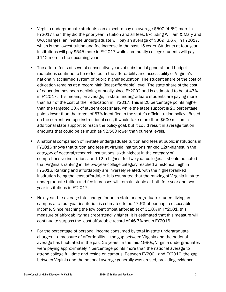- Virginia undergraduate students can expect to pay an average \$500 (4.6%) more in FY2017 than they did the prior year in tuition and all fees. Excluding William & Mary and UVA charges, an in-state undergraduate will pay an average of \$369 (3.6%) in FY2017, which is the lowest tuition and fee increase in the past 15 years. Students at four-year institutions will pay \$545 more in FY2017 while community college students will pay \$112 more in the upcoming year.
- The after-effects of several consecutive years of substantial general fund budget reductions continue to be reflected in the affordability and accessibility of Virginia's nationally acclaimed system of public higher education. The student share of the cost of education remains at a record high (least-affordable) level. The state share of the cost of education has been declining annually since FY2002 and is estimated to be at 47% in FY2017. This means, on average, in-state undergraduate students are paying more than half of the cost of their education in FY2017. This is 20 percentage points higher than the targeted 33% of student cost share, while the state support is 20 percentage points lower than the target of 67% identified in the state's official tuition policy. Based on the current average instructional cost, it would take more than \$600 million in additional state support to reach the policy goal, but it could result in average tuition amounts that could be as much as \$2,500 lower than current levels.
- A national comparison of in-state undergraduate tuition and fees at public institutions in FY2016 shows that tuition and fees at Virginia institutions ranked 12th-highest in the category of doctoral/research institutions, sixth-highest in the category of comprehensive institutions, and 12th-highest for two-year colleges. It should be noted that Virginia's ranking in the two-year-college category reached a historical high in FY2016. Ranking and affordability are inversely related, with the highest-ranked institution being the least affordable. It is estimated that the ranking of Virginia in-state undergraduate tuition and fee increases will remain stable at both four-year and two year institutions in FY2017.
- Next year, the average total charge for an in-state undergraduate student living on campus at a four-year institution is estimated to be 47.6% of per-capita disposable income. Since reaching the low point (most affordable) of 31.8% in FY2001, this measure of affordability has crept steadily higher. It is estimated that this measure will continue to surpass the least-affordable record of 46.7% set in FY2016.
- **For the percentage of personal income consumed by total in-state undergraduate** charges — a measure of affordability — the gap between Virginia and the national average has fluctuated in the past 25 years. In the mid-1990s, Virginia undergraduates were paying approximately 7 percentage points more than the national average to attend college full-time and reside on campus. Between FY2001 and FY2010, the gap between Virginia and the national average generally was erased, providing evidence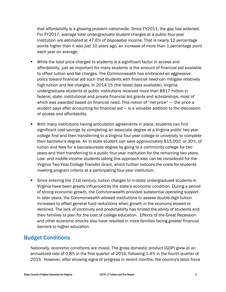that affordability is a growing problem nationwide. Since FY2011, the gap has widened. For FY2017, average total undergraduate student charges at a public four-year institution are estimated at 47.6% of disposable income. That is nearly 12 percentage points higher than it was just 10 years ago, an increase of more than 1 percentage point each year on average.

- While the total price charged to students is a significant factor in access and affordability, just as important for many students is the amount of financial aid available to offset tuition and fee charges. The Commonwealth has embraced an aggressive policy toward financial aid such that students with financial need can mitigate relatively high tuition and fee charges. In 2014-15 (the latest data available), Virginia undergraduate students at public institutions received more than \$817 million in federal, state, institutional and private financial aid grants and scholarships, most of which was awarded based on financial need. This notion of "net price" — the price a student pays after accounting for financial aid — is a valuable addition to the discussion of access and affordability.
- With many institutions having articulation agreements in place, students can find significant cost savings by completing an associate degree at a Virginia public two-year college first and then transferring to a Virginia four-year college or university to complete their bachelor's degree. An in-state student can save approximately \$15,000, or 30%, of tuition and fees for a baccalaureate degree by going to a community college for two years and then transferring to a public four-year institution for the remaining two years. Low- and middle-income students taking this approach also can be considered for the Virginia Two Year College Transfer Grant, which further reduces the costs for students meeting program criteria at a participating four-year institution.
- Since entering the 21st century, tuition charges to in-state undergraduate students in Virginia have been greatly influenced by the state's economic condition. During a period of strong economic growth, the Commonwealth provided substantial operating support. In later years, the Commonwealth allowed institutions to assess double-digit tuition increases to offset general fund reductions when growth in the economy slowed or declined. The lack of continuity and predictability has limited the ability of students and their families to plan for the cost of college education. Effects of the Great Recession and other economic shocks also have resulted in more families facing greater financial barriers to higher education.

#### Budget Conditions

Nationally, economic conditions are mixed. The gross domestic product (GDP) grew at an annualized rate of 0.8% in the first quarter of 2016, following 1.4% in the fourth quarter of 2015. However, after showing signs of progress in recent months, the country's labor force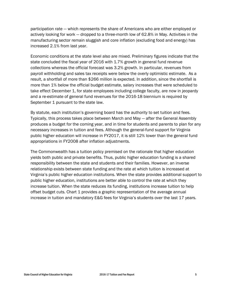participation rate — which represents the share of Americans who are either employed or actively looking for work — dropped to a three-month low of 62.8% in May. Activities in the manufacturing sector remain sluggish and core inflation (excluding food and energy) has increased 2.1% from last year.

Economic conditions at the state level also are mixed. Preliminary figures indicate that the state concluded the fiscal year of 2016 with 1.7% growth in general fund revenue collections whereas the official forecast was 3.2% growth. In particular, revenues from payroll withholding and sales tax receipts were below the overly optimistic estimate. As a result, a shortfall of more than \$266 million is expected. In addition, since the shortfall is more than 1% below the official budget estimate, salary increases that were scheduled to take effect December 1, for state employees including college faculty, are now in jeopardy and a re-estimate of general fund revenues for the 2016-18 biennium is required by September 1 pursuant to the state law.

By statute, each institution's governing board has the authority to set tuition and fees. Typically, this process takes place between March and May — after the General Assembly produces a budget for the coming year, and in time for students and parents to plan for any necessary increases in tuition and fees. Although the general-fund support for Virginia public higher education will increase in FY2017, it is still 12% lower than the general fund appropriations in FY2008 after inflation adjustments.

The Commonwealth has a tuition policy premised on the rationale that higher education yields both public and private benefits. Thus, public higher education funding is a shared responsibility between the state and students and their families. However, an inverse relationship exists between state funding and the rate at which tuition is increased at Virginia's public higher education institutions. When the state provides additional support to public higher education, institutions are better able to control the rate at which they increase tuition. When the state reduces its funding, institutions increase tuition to help offset budget cuts. Chart 1 provides a graphic representation of the average annual increase in tuition and mandatory E&G fees for Virginia's students over the last 17 years.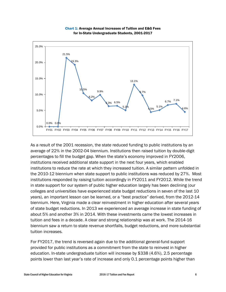

Chart 1: Average Annual Increases of Tuition and E&G Fees for In-State Undergraduate Students, 2001-2017

As a result of the 2001 recession, the state reduced funding to public institutions by an average of 22% in the 2002-04 biennium. Institutions then raised tuition by double-digit percentages to fill the budget gap. When the state's economy improved in FY2006, institutions received additional state support in the next four years, which enabled institutions to reduce the rate at which they increased tuition. A similar pattern unfolded in the 2010-12 biennium when state support to public institutions was reduced by 27%. Most institutions responded by raising tuition accordingly in FY2011 and FY2012. While the trend in state support for our system of public higher education largely has been declining (our colleges and universities have experienced state budget reductions in seven of the last 10 years), an important lesson can be learned, or a "best practice" derived, from the 2012-14 biennium. Here, Virginia made a clear reinvestment in higher education after several years of state budget reductions. In 2013 we experienced an average increase in state funding of about 5% and another 3% in 2014. With these investments came the lowest increases in tuition and fees in a decade. A clear and strong relationship was at work. The 2014-16 biennium saw a return to state revenue shortfalls, budget reductions, and more substantial tuition increases.

For FY2017, the trend is reversed again due to the additional general-fund support provided for public institutions as a commitment from the state to reinvest in higher education. In-state undergraduate tuition will increase by \$338 (4.6%), 2.5 percentage points lower than last year's rate of increase and only 0.1 percentage points higher than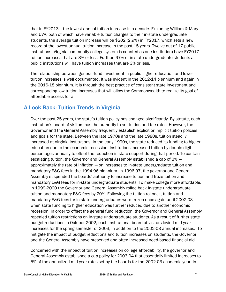that in FY2013 -- the lowest annual tuition increase in a decade. Excluding William & Mary and UVA, both of which have variable tuition charges to their in-state undergraduate students, the average tuition increase will be \$202 (2.9%) in FY2017, which sets a new record of the lowest annual tuition increase in the past 15 years. Twelve out of 17 public institutions (Virginia community college system is counted as one institution) have FY2017 tuition increases that are 3% or less. Further, 97% of in-state undergraduate students at public institutions will have tuition increases that are 3% or less.

The relationship between general-fund investment in public higher education and lower tuition increases is well documented. It was evident in the 2012-14 biennium and again in the 2016-18 biennium. It is through the best practice of consistent state investment and corresponding low tuition increases that will allow the Commonwealth to realize its goal of affordable access for all.

### A Look Back: Tuition Trends in Virginia

Over the past 25 years, the state's tuition policy has changed significantly. By statute, each institution's board of visitors has the authority to set tuition and fee rates. However, the Governor and the General Assembly frequently establish explicit or implicit tuition policies and goals for the state. Between the late 1970s and the late 1980s, tuition steadily increased at Virginia institutions. In the early 1990s, the state reduced its funding to higher education due to the economic recession. Institutions increased tuition by double-digit percentages annually to offset the reduction in state support during that period. To contain escalating tuition, the Governor and General Assembly established a cap of 3% approximately the rate of inflation — on increases to in-state undergraduate tuition and mandatory E&G fees in the 1994-96 biennium. In 1996-97, the governor and General Assembly suspended the boards' authority to increase tuition and froze tuition and mandatory E&G fees for in-state undergraduate students. To make college more affordable, in 1999-2000 the Governor and General Assembly rolled back in-state undergraduate tuition and mandatory E&G fees by 20%. Following the tuition rollback, tuition and mandatory E&G fees for in-state undergraduates were frozen once again until 2002-03 when state funding to higher education was further reduced due to another economic recession. In order to offset the general fund reduction, the Governor and General Assembly repealed tuition restrictions on in-state undergraduate students. As a result of further state budget reductions in October 2002, each institutional board of visitors levied mid-year increases for the spring semester of 2003, in addition to the 2002-03 annual increases. To mitigate the impact of budget reductions and tuition increases on students, the Governor and the General Assembly have preserved and often increased need-based financial aid.

Concerned with the impact of tuition increases on college affordability, the governor and General Assembly established a cap policy for 2003-04 that essentially limited increases to 5% of the annualized mid-year rates set by the boards for the 2002-03 academic year. In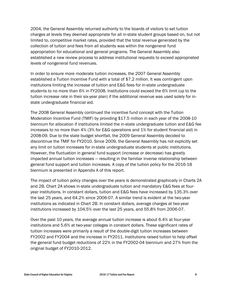2004, the General Assembly returned authority to the boards of visitors to set tuition charges at levels they deemed appropriate for all in-state student groups based on, but not limited to, competitive market rates, provided that the total revenue generated by the collection of tuition and fees from all students was within the nongeneral fund appropriation for educational and general programs. The General Assembly also established a new review process to address institutional requests to exceed appropriated levels of nongeneral fund revenues.

In order to ensure more moderate tuition increases, the 2007 General Assembly established a Tuition Incentive Fund with a total of \$7.2 million. It was contingent upon institutions limiting the increase of tuition and E&G fees for in-state undergraduate students to no more than 6% in FY2008. Institutions could exceed the 6% limit (up to the tuition increase rate in their six-year plan) if the additional revenue was used solely for instate undergraduate financial aid.

The 2008 General Assembly continued the incentive fund concept with the Tuition Moderation Incentive Fund (TMIF) by providing \$17.5 million in each year of the 2008-10 biennium for allocation if institutions limited the in-state undergraduate tuition and E&G fee increases to no more than 4% (3% for E&G operations and 1% for student financial aid) in 2008-09. Due to the state budget shortfall, the 2009 General Assembly decided to discontinue the TMIF for FY2010. Since 2009, the General Assembly has not explicitly set any limit on tuition increases for in-state undergraduate students at public institutions. However, the fluctuation in general fund support (increase or decrease) has greatly impacted annual tuition increases — resulting in the familiar inverse relationship between general fund support and tuition increases. A copy of the tuition policy for the 2016-18 biennium is presented in Appendix A of this report.

The impact of tuition policy changes over the years is demonstrated graphically in Charts 2A and 2B. Chart 2A shows in-state undergraduate tuition and mandatory E&G fees at fouryear institutions. In constant dollars, tuition and E&G fees have increased by 135.3% over the last 25 years, and 64.2% since 2006-07. A similar trend is evident at the two-year institutions as indicated in Chart 2B. In constant dollars, average charges at two-year institutions increased by 104.5% over the last 25 years, and 55.8% from 2006-07.

Over the past 10 years, the average annual tuition increase is about 6.4% at four-year institutions and 5.6% at two-year colleges in constant dollars. These significant rates of tuition increases were primarily a result of the double-digit tuition increases between FY2002 and FY2004 and the increase in FY2011. Institutions raised tuition to help offset the general fund budget reductions of 22% in the FY2002-04 biennium and 27% from the original budget of FY2010-2012.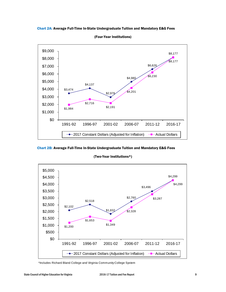Chart 2A: Average Full-Time In-State Undergraduate Tuition and Mandatory E&G Fees



(Four-Year Institutions)

Chart 2B: Average Full-Time In-State Undergraduate Tuition and Mandatory E&G Fees

(Two-Year Institutions\*)



\*Includes Richard Bland College and Virginia Community College System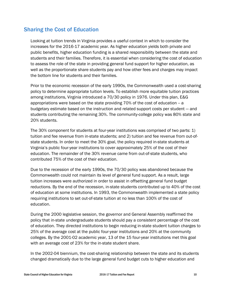#### Sharing the Cost of Education

Looking at tuition trends in Virginia provides a useful context in which to consider the increases for the 2016-17 academic year. As higher education yields both private and public benefits, higher education funding is a shared responsibility between the state and students and their families. Therefore, it is essential when considering the cost of education to assess the role of the state in providing general fund support for higher education, as well as the proportionate share students pay and how other fees and charges may impact the bottom line for students and their families.

Prior to the economic recession of the early 1990s, the Commonwealth used a cost-sharing policy to determine appropriate tuition levels. To establish more equitable tuition practices among institutions, Virginia introduced a 70/30 policy in 1976. Under this plan, E&G appropriations were based on the state providing 70% of the cost of education – a budgetary estimate based on the instruction and related support costs per student — and students contributing the remaining 30%. The community-college policy was 80% state and 20% students.

The 30% component for students at four-year institutions was comprised of two parts: 1) tuition and fee revenue from in-state students; and 2) tuition and fee revenue from out-ofstate students. In order to meet the 30% goal, the policy required in-state students at Virginia's public four-year institutions to cover approximately 25% of the cost of their education. The remainder of the 30% revenue came from out-of-state students, who contributed 75% of the cost of their education.

Due to the recession of the early 1990s, the 70/30 policy was abandoned because the Commonwealth could not maintain its level of general fund support. As a result, large tuition increases were authorized in order to assist in offsetting general fund budget reductions. By the end of the recession, in-state students contributed up to 40% of the cost of education at some institutions. In 1993, the Commonwealth implemented a state policy requiring institutions to set out-of-state tuition at no less than 100% of the cost of education.

During the 2000 legislative session, the governor and General Assembly reaffirmed the policy that in-state undergraduate students should pay a consistent percentage of the cost of education. They directed institutions to begin reducing in-state student tuition charges to 25% of the average cost at the public four-year institutions and 20% at the community colleges. By the 2001-02 academic year, 13 of the 15 four-year institutions met this goal with an average cost of 23% for the in-state student share.

In the 2002-04 biennium, the cost-sharing relationship between the state and its students changed dramatically due to the large general fund budget cuts to higher education and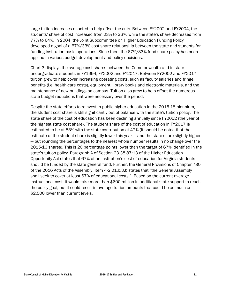large tuition increases enacted to help offset the cuts. Between FY2002 and FY2004, the students' share of cost increased from 23% to 36%, while the state's share decreased from 77% to 64%. In 2004, the Joint Subcommittee on Higher Education Funding Policy developed a goal of a 67%/33% cost-share relationship between the state and students for funding institution-basic operations. Since then, the 67%/33% fund-share policy has been applied in various budget development and policy decisions.

Chart 3 displays the average cost shares between the Commonwealth and in-state undergraduate students in FY1994, FY2002 and FY2017. Between FY2002 and FY2017 tuition grew to help cover increasing operating costs, such as faculty salaries and fringe benefits (i.e. health-care costs), equipment, library books and electronic materials, and the maintenance of new buildings on campus. Tuition also grew to help offset the numerous state budget reductions that were necessary over the period.

Despite the state efforts to reinvest in public higher education in the 2016-18 biennium, the student cost share is still significantly out of balance with the state's tuition policy. The state share of the cost of education has been declining annually since FY2002 (the year of the highest state cost share). The student share of the cost of education in FY2017 is estimated to be at 53% with the state contribution at 47% (It should be noted that the estimate of the student share is slightly lower this year — and the state share slightly higher — but rounding the percentages to the nearest whole number results in no change over the 2015-16 shares). This is 20 percentage points lower than the target of 67% identified in the state's tuition policy. Paragraph A of Section 23-38.87:13 of the Higher Education Opportunity Act states that 67% of an institution's cost of education for Virginia students should be funded by the state general fund. Further, the General Provisions of Chapter 780 of the 2016 Acts of the Assembly, Item 4-2.01.b.3.b states that "the General Assembly shall seek to cover at least 67% of educational costs." Based on the current average instructional cost, it would take more than \$600 million in additional state support to reach the policy goal, but it could result in average tuition amounts that could be as much as \$2,500 lower than current levels.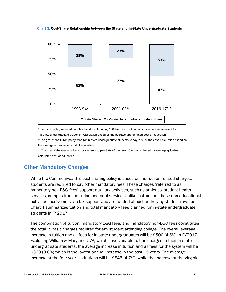Chart 3: Cost-Share Relationship between the State and In-State Undergraduate Students



\*The tuition policy required out-of-state students to pay 100% of cost, but had no cost-share requirement for in-state undergraduate students. Calculation based on the average appropriated cost of education.

\*\*The goal of the tuition policy w as for in-state undergraduate students to pay 25% of the cost. Calculation based on the average appropriated cost of education.

\*\*\*The goal of the tuition policy is for students to pay 33% of the cost. Calculation based on average guideline calculated cost of education.

#### Other Mandatory Charges

While the Commonwealth's cost-sharing policy is based on instruction-related charges, students are required to pay other mandatory fees. These charges (referred to as mandatory non-E&G fees) support auxiliary activities, such as athletics, student health services, campus transportation and debt service. Unlike instruction, these non-educational activities receive no state tax support and are funded almost entirely by student revenue. Chart 4 summarizes tuition and total mandatory fees planned for in-state undergraduate students in FY2017.

The combination of tuition, mandatory E&G fees, and mandatory non-E&G fees constitutes the total in basic charges required for any student attending college. The overall average increase in tuition and all fees for in-state undergraduates will be \$500 (4.6%) in FY2017. Excluding William & Mary and UVA, which have variable tuition charges to their in-state undergraduate students, the average increase in tuition and all fees for the system will be \$369 (3.6%) which is the lowest annual increase in the past 15 years. The average increase at the four-year institutions will be \$545 (4.7%), while the increase at the Virginia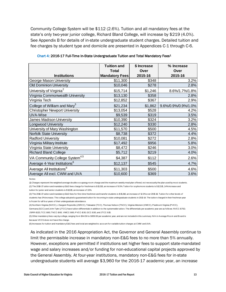Community College System will be \$112 (2.6%). Tuition and all mandatory fees at the state's only two-year junior college, Richard Bland College, will increase by \$219 (4.0%). See Appendix B for details of in-state undergraduate student charges. Detailed tuition and fee charges by student type and domicile are presented in Appendices C-1 through C-6.

|                                            | <b>Tuition and</b>    | \$ Increase | % Increase          |
|--------------------------------------------|-----------------------|-------------|---------------------|
|                                            | <b>Total</b>          | Over        | Over                |
| <b>Institutions</b>                        | <b>Mandatory Fees</b> | 2015-16     | 2015-16             |
| George Mason University                    | \$11,300              | \$348       | 3.2%                |
| <b>Old Dominion University</b>             | \$10,046              | \$278       | 2.8%                |
| University of Virginia <sup>2</sup>        | \$15,714              | \$1,246     | 8.6%/1.7%/1.8%      |
| Virginia Commonwealth University           | \$13,130              | \$358       | 2.8%                |
| Virginia Tech                              | \$12,852              | \$367       | 2.9%                |
| College of William and Mary <sup>3</sup>   | \$21,234              | \$1,862     | 9.6%/0.9%/0.9%/1.0% |
| <b>Christopher Newport University</b>      | \$13,054              | \$528       | 4.2%                |
| <b>UVA-Wise</b>                            | \$9,539               | \$319       | 3.5%                |
| James Madison University                   | \$10,390              | \$324       | 3.2%                |
| <b>Longwood University</b>                 | \$12,240              | \$330       | 2.8%                |
| University of Mary Washington              | \$11,570              | \$500       | 4.5%                |
| Norfolk State University                   | \$8,738               | \$372       | 4.4%                |
| <b>Radford University</b>                  | \$10,081              | \$272       | 2.8%                |
| Virginia Military Institute                | \$17,492              | \$956       | 5.8%                |
| Virginia State University                  | \$8,472               | \$246       | 3.0%                |
| <b>Richard Bland College</b>               | \$5,712               | \$219       | 4.0%                |
| VA Community College System <sup>4,5</sup> | \$4,387               | \$112       | 2.6%                |
| Average 4-Year Institutions <sup>6</sup>   | \$12,137              | \$545       | 4.7%                |
| Average All Institutions <sup>6</sup>      | \$11,303              | \$500       | 4.6%                |
| Average All excl. CWM and UVA              | \$10,600              | \$369       | 3.6%                |

Chart 4: 2016-17 Full-Time In-State Undergraduate Tuition and Total Mandatory Fees<sup>1</sup>

Notes:

(1) Charges represent the weighted average double occupangy room charge and the maximum weekly meal plan offered, not necessarily the plan used by most students. (2) The 2016-17 tuition and mandatory E&G fees charge for freshman is \$13,515, an increase of 9.5%. Tuition for sophomore students is \$12,515, 1.4% increase and

tuition for junior and senior students is \$11,515, an increase of 1.5%. (3) The 2016-17 tuition and mandatory E&G fees for first-time freshmen and transfer students is \$15,810, an increase of 12.3% over 2015-16. Tuition for other levels of

students has 0% increase. The college adopted a guaranteed tuition for incoming in-state undergraduate students in 2013-14. The tuition charged in their freshman year is frozen for all four years of their undergraduate attendance.

(4) Northern Virginia (NVCC), J.Sargent Reynolds (JSRCC), Tidewater (TCC), Thomas Nelson (TNCC), Virginia Western (VWCC), Piedmont Virginia (PVCC), Germana (GCC) and John Tyler (JTCC) have tuition differentials in addition to the systemwide tuition. The differentials per academic year are as follows: NVCC-\$762; JSRR-\$123; TCC-\$60; TNCC-\$60; VWCC-\$60, PVCC-\$30, GCC-\$30, and JTCC-\$15.

(5) Other mandatory fees vary by college, ranging from \$64.50 to \$850.50 per academic year, and are not included in this summary. N/A in Average Room and Board is because VCCS does not have this charge.

(6) Increases for tuition and mandatory E&G fees and total are weighted to account for variable tuition charges at CWM and UVA.

As indicated in the 2016 Appropriation Act, the Governor and General Assembly continue to limit the permissible increase in mandatory non-E&G fees to no more than 5% annually. However, exceptions are permitted if institutions set higher fees to support state-mandated wage and salary increases and/or funding for non-educational capital projects approved by the General Assembly. At four-year institutions, mandatory non-E&G fees for in-state undergraduate students will average \$3,960 for the 2016-17 academic year, an increase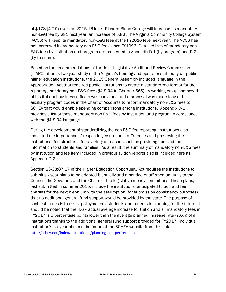of \$178 (4.7%) over the 2015-16 level. Richard Bland College will increase its mandatory non-E&G fee by \$81 next year, an increase of 5.8%. The Virginia Community College System (VCCS) will keep its mandatory non-E&G fees at the FY2016 level next year. The VCCS has not increased its mandatory non-E&G fees since FY1996. Detailed lists of mandatory non-E&G fees by institution and program are presented in Appendix D-1 (by program) and D-2 (by fee item).

Based on the recommendations of the Joint Legislative Audit and Review Commission (JLARC) after its two-year study of the Virginia's funding and operations at four-year public higher education institutions, the 2015 General Assembly included language in the Appropriation Act that required public institutions to create a standardized format for the reporting mandatory non-E&G fees (§4-9.04 in Chapter 665). A working group composed of institutional business officers was convened and a proposal was made to use the auxiliary program codes in the Chart of Accounts to report mandatory non-E&G fees to SCHEV that would enable spending comparisons among institutions. Appendix D-1 provides a list of these mandatory non-E&G fees by institution and program in compliance with the §4-9.04 language.

During the development of standardizing the non-E&G fee reporting, institutions also indicated the importance of respecting institutional differences and preserving the institutional fee structures for a variety of reasons such as providing itemized fee information to students and families. As a result, the summary of mandatory non-E&G fees by institution and fee item included in previous tuition reports also is included here as Appendix D-2.

Section 23-38:87:17 of the Higher Education Opportunity Act requires the institutions to submit six-year plans to be adopted biennially and amended or affirmed annually to the Council, the Governor, and the Chairs of the legislative money committees. These plans, last submitted in summer 2015, include the institutions' anticipated tuition and fee charges for the next biennium with the assumption (for submission consistency purposes) that no additional general fund support would be provided by the state. The purpose of such estimates is to assist policymakers, students and parents in planning for the future. It should be noted that the 4.6% actual average increase for tuition and all mandatory fees in FY2017 is 3 percentage points lower than the average planned increase rate (7.6%) of all institutions thanks to the additional general fund support provided for FY2017. Individual institution's six-year plan can be found at the SCHEV website from this link <http://schev.edu/index/institutional/planning-and-performance>.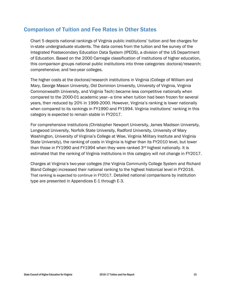#### Comparison of Tuition and Fee Rates in Other States

Chart 5 depicts national rankings of Virginia public institutions' tuition and fee charges for in-state undergraduate students. The data comes from the tuition and fee survey of the Integrated Postsecondary Education Data System (IPEDS), a division of the US Department of Education. Based on the 2000 Carnegie classification of institutions of higher education, this comparison groups national public institutions into three categories: doctoral/research; comprehensive; and two-year colleges.

The higher costs at the doctoral/research institutions in Virginia (College of William and Mary, George Mason University, Old Dominion University, University of Virginia, Virginia Commonwealth University, and Virginia Tech) became less competitive nationally when compared to the 2000-01 academic year—a time when tuition had been frozen for several years, then reduced by 20% in 1999-2000. However, Virginia's ranking is lower nationally when compared to its rankings in FY1990 and FY1994. Virginia institutions' ranking in this category is expected to remain stable in FY2017.

For comprehensive institutions (Christopher Newport University, James Madison University, Longwood University, Norfolk State University, Radford University, University of Mary Washington, University of Virginia's College at Wise, Virginia Military Institute and Virginia State University), the ranking of costs in Virginia is higher than its FY2010 level, but lower than those in FY1990 and FY1994 when they were ranked 3rd highest nationally. It is estimated that the ranking of Virginia institutions in this category will not change in FY2017.

Charges at Virginia's two-year colleges (the Virginia Community College System and Richard Bland College) increased their national ranking to the highest historical level in FY2016. That ranking is expected to continue in FY2017. Detailed national comparisons by institution type are presented in Appendices E-1 through E-3.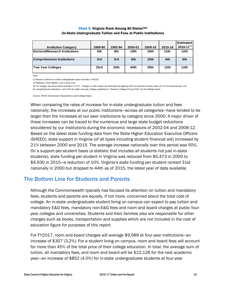#### Chart 5: Virginia Rank Among All States<sup>1&2</sup> (In-State Undergraduate Tuition and Fees at Public Institutions)

|                                   |         |                  |                  |                  |                  | <b>Estimated</b> |
|-----------------------------------|---------|------------------|------------------|------------------|------------------|------------------|
| <b>Institution Category</b>       | 1989-90 | 1993-94          | 2000-01          | 2009-10          | 2015-16          | 2016-17 $3$      |
| Doctoral/Research Institutions    | 5th     | 8th              | 19 <sub>th</sub> | 16th             | 12 <sub>th</sub> | 12 <sub>th</sub> |
| <b>Comprehensive Institutions</b> | 3rd     | 3rd              | 6th              | 10 <sub>th</sub> | 6th              | 6th              |
| <b>Two Year Colleges</b>          | 33rd    | 25 <sub>th</sub> | 40th             | 29 <sub>th</sub> | 12 <sub>th</sub> | 12 <sub>th</sub> |

Note:

(1) Based on full-time in-state undergraduate tuition and fees in IPEDS.

(2) Ranking is from highest cost to least cost.

(3) VA charges are actual tuition and fees in FY17. Charges in other states are estimated by applying 2014-15 national increase rates of 2.7% for doctoral and 3.1% for comprehensive institutions, and 3.0% for public two-year colleges published in "Trends in College Pricing 2015" by the College Board.

Source: IPEDS Institutional Characteristics and College Board.

When comparing the rates of increase for in-state undergraduate tuition and fees nationally, the increases at our public institutions—across all categories—have tended to be larger than the increases at our peer institutions by category since 2000. A major driver of those increases can be traced to the numerous and large state budget reductions shouldered by our institutions during the economic recessions of 2002-04 and 2008-12. Based on the latest state funding data from the State Higher Education Executive Officers (SHEEO), state support in Virginia (of all types including student financial aid) increased by 21% between 2000 and 2015. The average increase nationally over this period was 50%. On a support-per-student basis (a statistic that includes all students not just in-state students), state funding per student in Virginia was reduced from \$5,473 in 2000 to \$4,930 in 2015—a reduction of 10%. Virginia's state funding per student ranked 31st nationally in 2000 but dropped to 44th as of 2015, the latest year of data available.

#### The Bottom Line for Students and Parents

Although the Commonwealth typically has focused its attention on tuition and mandatory fees, students and parents are equally, if not more, concerned about the total cost of college. An in-state undergraduate student living on campus can expect to pay tuition and mandatory E&G fees, mandatory non-E&G fees and room and board charges at public fouryear colleges and universities. Students and their families also are responsible for other charges such as books, transportation and supplies which are not included in the cost of education figure for purposes of this report.

For FY2017, room and board charges will average \$9,989 at four-year institutions—an increase of \$307 (3.2%). For a student living on campus, room and board fees will account for more than 45% of the total price of their college education. In total, the average sum of tuition, all mandatory fees, and room and board will be \$22,126 for the next academic year—an increase of \$852 (4.0%) for in-state undergraduate students at four-year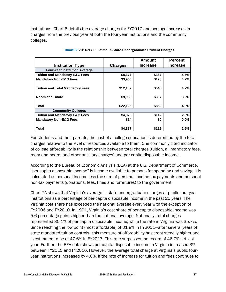institutions. Chart 6 details the average charges for FY2017 and average increases in charges from the previous year at both the four-year institutions and the community colleges.

|                                           |                | <b>Amount</b>   | <b>Percent</b>  |
|-------------------------------------------|----------------|-----------------|-----------------|
| <b>Institution Type</b>                   | <b>Charges</b> | <b>Increase</b> | <b>Increase</b> |
| <b>Four-Year Institution Average</b>      |                |                 |                 |
| <b>Tuition and Mandatory E&amp;G Fees</b> | \$8,177        | \$367           | 4.7%            |
| <b>Mandatory Non-E&amp;G Fees</b>         | \$3,960        | \$178           | 4.7%            |
| <b>Tuition and Total Mandatory Fees</b>   | \$12,137       | \$545           | 4.7%            |
| <b>Room and Board</b>                     | \$9,989        | \$307           | 3.2%            |
| <b>Total</b>                              | \$22,126       | \$852           | 4.0%            |
| <b>Community Colleges</b>                 |                |                 |                 |
| <b>Tuition and Mandatory E&amp;G Fees</b> | \$4,373        | \$112           | 2.6%            |
| <b>Mandatory Non-E&amp;G Fees</b>         | \$14           | \$0             | $0.0\%$         |
| <b>Total</b>                              | \$4,387        | \$112           | 2.6%            |

Chart 6: 2016-17 Full-time In-State Undergraduate Student Charges

For students and their parents, the cost of a college education is determined by the total charges relative to the level of resources available to them. One commonly cited indicator of college affordability is the relationship between total charges (tuition, all mandatory fees, room and board, and other ancillary charges) and per-capita disposable income.

According to the Bureau of Economic Analysis (BEA) at the U.S. Department of Commerce, "per-capita disposable income" is income available to persons for spending and saving. It is calculated as personal income less the sum of personal income tax payments and personal non-tax payments (donations, fees, fines and forfeitures) to the government.

Chart 7A shows that Virginia's average in-state undergraduate charges at public four-year institutions as a percentage of per-capita disposable income in the past 25 years. The Virginia cost share has exceeded the national average every year with the exception of FY2006 and FY2010. In 1991, Virginia's cost share of per-capita disposable income was 5.6 percentage points higher than the national average. Nationally, total charges represented 30.1% of per-capita disposable income, while the rate in Virginia was 35.7%. Since reaching the low point (most affordable) of 31.8% in FY2001—after several years of state mandated tuition controls—this measure of affordability has crept steadily higher and is estimated to be at 47.6% in FY2017. This rate surpasses the record of 46.7% set last year. Further, the BEA data shows per-capita disposable income in Virginia increased 3% between FY2015 and FY2016. However, the average total charge at Virginia's public fouryear institutions increased by 4.6%. If the rate of increase for tuition and fees continues to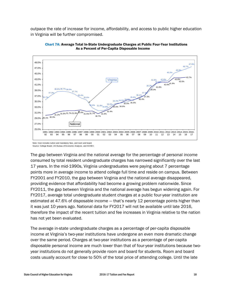outpace the rate of increase for income, affordability, and access to public higher education in Virginia will be further compromised.



Chart 7A: Average Total In-State Undergraduate Charges at Public Four-Year Institutions As a Percent of Per-Capita Disposable Income

Note: Cost includes tuition and mandatory fees, and room and board. Source: College Board, US Bureau of Economic Analysis, and SCHEV.

The gap between Virginia and the national average for the percentage of personal income consumed by total resident undergraduate charges has narrowed significantly over the last 17 years. In the mid-1990s, Virginia undergraduates were paying about 7 percentage points more in average income to attend college full time and reside on campus. Between FY2001 and FY2010, the gap between Virginia and the national average disappeared, providing evidence that affordability had become a growing problem nationwide. Since FY2011, the gap between Virginia and the national average has begun widening again. For FY2017, average total undergraduate student charges at a public four-year institution are estimated at 47.6% of disposable income — that's nearly 12 percentage points higher than it was just 10 years ago. National data for FY2017 will not be available until late 2016, therefore the impact of the recent tuition and fee increases in Virginia relative to the nation has not yet been evaluated.

The average in-state undergraduate charges as a percentage of per-capita disposable income at Virginia's two-year institutions have undergone an even more dramatic change over the same period. Charges at two-year institutions as a percentage of per-capita disposable personal income are much lower than that of four-year institutions because twoyear institutions do not generally provide room and board for students. Room and board costs usually account for close to 50% of the total price of attending college. Until the late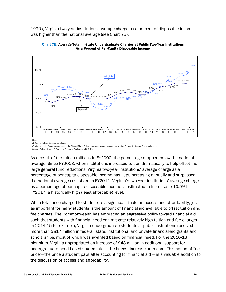1990s, Virginia two-year institutions' average charge as a percent of disposable income was higher than the national average (see Chart 7B).



Chart 7B: Average Total In-State Undergraduate Charges at Public Two-Year Institutions As a Percent of Per-Capita Disposable Income

**Notes** 

(2) Virginia public 2-year charges include the Richard Bland College commuter student charges and Virginia Community College System charges. Source: College Board, US Bureau of Economic Analysis, and SCHEV.

As a result of the tuition rollback in FY2000, the percentage dropped below the national average. Since FY2003, when institutions increased tuition dramatically to help offset the large general fund reductions, Virginia two-year institutions' average charge as a percentage of per-capita disposable income has kept increasing annually and surpassed the national average cost share in FY2011. Virginia's two-year institutions' average charge as a percentage of per-capita disposable income is estimated to increase to 10.9% in FY2017, a historically high (least affordable) level.

While total price charged to students is a significant factor in access and affordability, just as important for many students is the amount of financial aid available to offset tuition and fee charges. The Commonwealth has embraced an aggressive policy toward financial aid such that students with financial need can mitigate relatively high tuition and fee charges. In 2014-15 for example, Virginia undergraduate students at public institutions received more than \$817 million in federal, state, institutional and private financial-aid grants and scholarships, most of which was awarded based on financial need. For the 2016-18 biennium, Virginia appropriated an increase of \$48 million in additional support for undergraduate need-based student aid — the largest increase on record. This notion of "net price"—the price a student pays after accounting for financial aid — is a valuable addition to the discussion of access and affordability.

<sup>(1)</sup> Cost includes tuition and mandatory fees.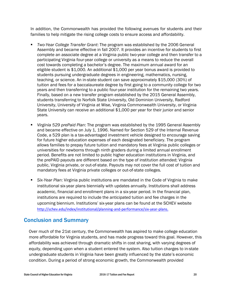In addition, the Commonwealth has provided the following avenues for students and their families to help mitigate the rising college costs to ensure access and affordability.

- *Two-Year College Transfer Grant*: The program was established by the 2006 General Assembly and became effective in fall 2007. It provides an incentive for students to first complete an associate degree at a Virginia public two-year college and then transfer to a participating Virginia four-year college or university as a means to reduce the overall cost towards completing a bachelor's degree. The maximum annual award for an eligible student is \$1,000. An additional \$1,000 per year bonus award is provided to students pursuing undergraduate degrees in engineering, mathematics, nursing, teaching, or science. An in-state student can save approximately \$15,000 (30%) of tuition and fees for a baccalaureate degree by first going to a community college for two years and then transferring to a public four-year institution for the remaining two years. Finally, based on a new transfer program established by the 2015 General Assembly, students transferring to Norfolk State University, Old Dominion University, Radford University, University of Virginia at Wise, Virginia Commonwealth University, or Virginia State University can receive an additional \$1,000 per year for their junior and senior years.
- *Virginia 529 prePaid Plan*: The program was established by the 1995 General Assembly and became effective on July 1, 1996. Named for Section 529 of the [Internal Revenue](http://en.wikipedia.org/wiki/Internal_Revenue_Code)  [Code,](http://en.wikipedia.org/wiki/Internal_Revenue_Code) a 529 plan is a tax-advantaged investment vehicle designed to encourage saving for future higher education expenses of each designated beneficiary. The program allows families to prepay future tuition and mandatory fees at Virginia public colleges or universities for newborns through ninth graders during a limited annual enrollment period. Benefits are not limited to public higher education institutions in Virginia, and the prePAID payouts are different based on the type of institution attended; Virginia public, Virginia private, or out-of-state. Payouts may not cover the full cost of tuition and mandatory fees at Virginia private colleges or out-of-state colleges.
- *Six-Year Plan*: Virginia public institutions are mandated in the Code of Virginia to make institutional six-year plans biennially with updates annually. Institutions shall address academic, financial and enrollment plans in a six-year period. In the financial plan, institutions are required to include the anticipated tuition and fee charges in the upcoming biennium. Institutions' six-year plans can be found at the SCHEV website [http://schev.edu/index/institutional/planning-and-performance/](http://schev.edu/index/institutional/planning-and-performance)six-year-plans.

### Conclusion and Summary

Over much of the 21st century, the Commonwealth has aspired to make college education more affordable for Virginia students, and has made progress toward this goal. However, this affordability was achieved through dramatic shifts in cost sharing, with varying degrees of equity, depending upon when a student entered the system. Also tuition charges to in-state undergraduate students in Virginia have been greatly influenced by the state's economic condition. During a period of strong economic growth, the Commonwealth provided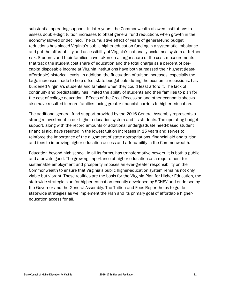substantial operating support. In later years, the Commonwealth allowed institutions to assess double-digit tuition increases to offset general fund reductions when growth in the economy slowed or declined. The cumulative effect of years of general-fund budget reductions has placed Virginia's public higher-education funding in a systematic imbalance and put the affordability and accessibility of Virginia's nationally acclaimed system at further risk. Students and their families have taken on a larger share of the cost; measurements that track the student cost share of education and the total charge as a percent of percapita disposable income at Virginia institutions have both surpassed their highest (leastaffordable) historical levels. In addition, the fluctuation of tuition increases, especially the large increases made to help offset state budget cuts during the economic recessions, has burdened Virginia's students and families when they could least afford it. The lack of continuity and predictability has limited the ability of students and their families to plan for the cost of college education. Effects of the Great Recession and other economic shocks also have resulted in more families facing greater financial barriers to higher education.

The additional general-fund support provided by the 2016 General Assembly represents a strong reinvestment in our higher education system and its students. The operating-budget support, along with the record amounts of additional undergraduate need-based student financial aid, have resulted in the lowest tuition increases in 15 years and serves to reinforce the importance of the alignment of state appropriations, financial aid and tuition and fees to improving higher education access and affordability in the Commonwealth.

Education beyond high school, in all its forms, has transformative powers. It is both a public and a private good. The growing importance of higher education as a requirement for sustainable employment and prosperity imposes an ever-greater responsibility on the Commonwealth to ensure that Virginia's public higher-education system remains not only viable but vibrant. These realities are the basis for the Virginia Plan for Higher Education, the statewide strategic plan for higher education recently developed by SCHEV and endorsed by the Governor and the General Assembly. The Tuition and Fees Report helps to guide statewide strategies as we implement the Plan and its primary goal of affordable highereducation access for all.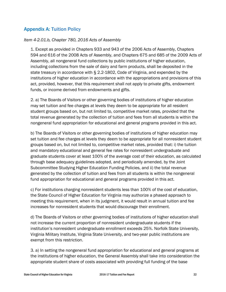#### Appendix A: Tuition Policy

#### *Item 4-2.01.b, Chapter 780, 2016 Acts of Assembly*

1. Except as provided in Chapters 933 and 943 of the 2006 Acts of Assembly, Chapters 594 and 616 of the 2008 Acts of Assembly, and Chapters 675 and 685 of the 2009 Acts of Assembly, all nongeneral fund collections by public institutions of higher education, including collections from the sale of dairy and farm products, shall be deposited in the state treasury in accordance with § 2.2-1802, Code of Virginia, and expended by the institutions of higher education in accordance with the appropriations and provisions of this act, provided, however, that this requirement shall not apply to private gifts, endowment funds, or income derived from endowments and gifts.

2. a) The Boards of Visitors or other governing bodies of institutions of higher education may set tuition and fee charges at levels they deem to be appropriate for all resident student groups based on, but not limited to, competitive market rates, provided that the total revenue generated by the collection of tuition and fees from all students is within the nongeneral fund appropriation for educational and general programs provided in this act.

b) The Boards of Visitors or other governing bodies of institutions of higher education may set tuition and fee charges at levels they deem to be appropriate for all nonresident student groups based on, but not limited to, competitive market rates, provided that: i) the tuition and mandatory educational and general fee rates for nonresident undergraduate and graduate students cover at least 100% of the average cost of their education, as calculated through base adequacy guidelines adopted, and periodically amended, by the Joint Subcommittee Studying Higher Education Funding Policies, and ii) the total revenue generated by the collection of tuition and fees from all students is within the nongeneral fund appropriation for educational and general programs provided in this act.

c) For institutions charging nonresident students less than 100% of the cost of education, the State Council of Higher Education for Virginia may authorize a phased approach to meeting this requirement, when in its judgment, it would result in annual tuition and fee increases for nonresident students that would discourage their enrollment.

d) The Boards of Visitors or other governing bodies of institutions of higher education shall not increase the current proportion of nonresident undergraduate students if the institution's nonresident undergraduate enrollment exceeds 25%. Norfolk State University, Virginia Military Institute, Virginia State University, and two-year public institutions are exempt from this restriction.

3. a) In setting the nongeneral fund appropriation for educational and general programs at the institutions of higher education, the General Assembly shall take into consideration the appropriate student share of costs associated with providing full funding of the base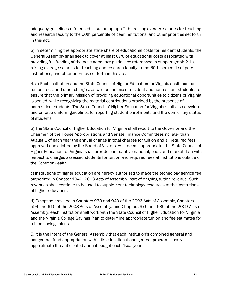adequacy guidelines referenced in subparagraph 2. b), raising average salaries for teaching and research faculty to the 60th percentile of peer institutions, and other priorities set forth in this act.

b) In determining the appropriate state share of educational costs for resident students, the General Assembly shall seek to cover at least 67% of educational costs associated with providing full funding of the base adequacy guidelines referenced in subparagraph 2. b), raising average salaries for teaching and research faculty to the 60th percentile of peer institutions, and other priorities set forth in this act.

4. a) Each institution and the State Council of Higher Education for Virginia shall monitor tuition, fees, and other charges, as well as the mix of resident and nonresident students, to ensure that the primary mission of providing educational opportunities to citizens of Virginia is served, while recognizing the material contributions provided by the presence of nonresident students. The State Council of Higher Education for Virginia shall also develop and enforce uniform guidelines for reporting student enrollments and the domiciliary status of students.

b) The State Council of Higher Education for Virginia shall report to the Governor and the Chairmen of the House Appropriations and Senate Finance Committees no later than August 1 of each year the annual change in total charges for tuition and all required fees approved and allotted by the Board of Visitors. As it deems appropriate, the State Council of Higher Education for Virginia shall provide comparative national, peer, and market data with respect to charges assessed students for tuition and required fees at institutions outside of the Commonwealth.

c) Institutions of higher education are hereby authorized to make the technology service fee authorized in Chapter 1042, 2003 Acts of Assembly, part of ongoing tuition revenue. Such revenues shall continue to be used to supplement technology resources at the institutions of higher education.

d) Except as provided in Chapters 933 and 943 of the 2006 Acts of Assembly, Chapters 594 and 616 of the 2008 Acts of Assembly, and Chapters 675 and 685 of the 2009 Acts of Assembly, each institution shall work with the State Council of Higher Education for Virginia and the Virginia College Savings Plan to determine appropriate tuition and fee estimates for tuition savings plans.

5. It is the intent of the General Assembly that each institution's combined general and nongeneral fund appropriation within its educational and general program closely approximate the anticipated annual budget each fiscal year.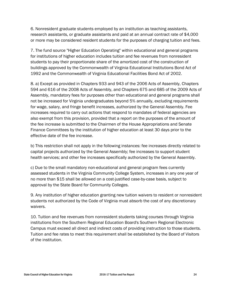6. Nonresident graduate students employed by an institution as teaching assistants, research assistants, or graduate assistants and paid at an annual contract rate of \$4,000 or more may be considered resident students for the purposes of charging tuition and fees.

7. The fund source "Higher Education Operating" within educational and general programs for institutions of higher education includes tuition and fee revenues from nonresident students to pay their proportionate share of the amortized cost of the construction of buildings approved by the Commonwealth of Virginia Educational Institutions Bond Act of 1992 and the Commonwealth of Virginia Educational Facilities Bond Act of 2002.

8. a) Except as provided in Chapters 933 and 943 of the 2006 Acts of Assembly, Chapters 594 and 616 of the 2008 Acts of Assembly, and Chapters 675 and 685 of the 2009 Acts of Assembly, mandatory fees for purposes other than educational and general programs shall not be increased for Virginia undergraduates beyond 5% annually, excluding requirements for wage, salary, and fringe benefit increases, authorized by the General Assembly. Fee increases required to carry out actions that respond to mandates of federal agencies are also exempt from this provision, provided that a report on the purposes of the amount of the fee increase is submitted to the Chairmen of the House Appropriations and Senate Finance Committees by the institution of higher education at least 30 days prior to the effective date of the fee increase.

b) This restriction shall not apply in the following instances: fee increases directly related to capital projects authorized by the General Assembly; fee increases to support student health services; and other fee increases specifically authorized by the General Assembly.

c) Due to the small mandatory non-educational and general program fees currently assessed students in the Virginia Community College System, increases in any one year of no more than \$15 shall be allowed on a cost-justified case-by-case basis, subject to approval by the State Board for Community Colleges.

9. Any institution of higher education granting new tuition waivers to resident or nonresident students not authorized by the Code of Virginia must absorb the cost of any discretionary waivers.

10. Tuition and fee revenues from nonresident students taking courses through Virginia institutions from the Southern Regional Education Board's Southern Regional Electronic Campus must exceed all direct and indirect costs of providing instruction to those students. Tuition and fee rates to meet this requirement shall be established by the Board of Visitors of the institution.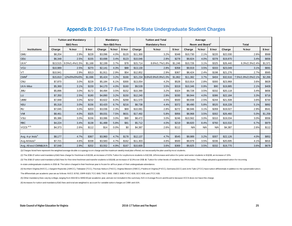#### Appendix B: 2016-17 Full-Time In-State Undergraduate Student Charges

|                              |          | <b>Tuition and Mandatory</b> |         |         | Mandatory    |         | <b>Tuition and Total</b> |                              |         |            | Average                     |         |          |                     |         |  |
|------------------------------|----------|------------------------------|---------|---------|--------------|---------|--------------------------|------------------------------|---------|------------|-----------------------------|---------|----------|---------------------|---------|--|
|                              |          | <b>E&amp;G Fees</b>          |         |         | Non-E&G Fees |         |                          | <b>Mandatory Fees</b>        |         |            | Room and Board <sup>1</sup> |         |          | <b>Total</b>        |         |  |
| <b>Institutions</b>          | Charge   | $%$ Incr                     | \$ Incr | Charge  | $%$ Incr     | \$ Incr | Charge                   | $%$ Incr                     | \$ Incr | Charge     | % Incr                      | \$ Incr | Charge   | $%$ Incr            | \$ Incr |  |
| <b>GMU</b>                   | \$8,204  | 2.9%                         | \$228   | \$3,096 | 4.0%         | \$120   | \$11,300                 | 3.2%                         | \$348   | \$10,730   | 2.1%                        | \$220   | \$22,030 | 2.6%                | \$568   |  |
| ODU                          | \$6,348  | 2.5%                         | \$155   | \$3,698 | 3.4%         | \$123   | \$10,046                 | 2.8%                         | \$278   | \$9,824    | 4.0%                        | \$378   | \$19,870 | 3.4%                | \$656   |  |
| UVA <sup>2</sup>             | \$13,515 | 9.5%/1.4%/1.5%               | \$1,168 | \$2,199 | 3.7%         | \$78    | \$15,714                 | 8.6%/1.7%/1.8%               | \$1,246 | \$10,726   | 3.1%                        | \$325   | \$26,440 | 6.3%/2.3%/2.4%      | \$1,571 |  |
| VCU                          | \$10,989 | 2.5%                         | \$270   | \$2,141 | 4.3%         | \$88    | \$13,130                 | 2.8%                         | \$358   | \$9,919    | 3.5%                        | \$333   | \$23,049 | 3.1%                | \$691   |  |
| VT                           | \$10,941 | 2.9%                         | \$313   | \$1,911 | 2.9%         | \$54    | \$12,852                 | 2.9%                         | \$367   | \$8,424    | 2.4%                        | \$198   | \$21,276 | 2.7%                | \$565   |  |
| CWM <sup>3</sup>             | \$15,810 | 12%/0%/0%/0%                 | \$1.696 | \$5,424 | 3.2%         | \$166   |                          | \$21,234 9.6%/0.9%/0.9%/1.0% | \$1.862 | \$11,382   | 3.7%                        | \$404   | \$32.616 | 7.5%/1.9%/2.0%/2.1% | \$2,266 |  |
| <b>CNU</b>                   | \$7,870  | 3.0%                         | \$228   | \$5,184 | 6.1%         | \$300   | \$13,054                 | 4.2%                         | \$528   | \$10,914   | 2.8%                        | \$300   | \$23,968 | 3.6%                | \$828   |  |
| <b>UVA-Wise</b>              | \$5,369  | 3.1%                         | \$159   | \$4,170 | 4.0%         | \$160   | \$9,539                  | 3.5%                         | \$319   | \$10,346   | 0.9%                        | \$90    | \$19,885 | 2.1%                | \$409   |  |
| <b>JMU</b>                   | \$5,896  | 3.0%                         | \$172   | \$4,494 | 3.5%         | \$152   | \$10,390                 | 3.2%                         | \$324   | \$9,728    | 3.5%                        | \$332   | \$20,118 | 3.4%                | \$656   |  |
| LU                           | \$7,350  | 2.5%                         | \$180   | \$4,890 | 3.2%         | \$150   | \$12,240                 | 2.8%                         | \$330   | \$9,944    | 4.0%                        | \$386   | \$22,184 | 3.3%                | \$716   |  |
| <b>UMW</b>                   | \$7,948  | 3.0%                         | \$232   | \$3,622 | 8.0%         | \$268   | \$11,570                 | 4.5%                         | \$500   | \$9,938    | 2.5%                        | \$244   | \$21,508 | 3.6%                | \$744   |  |
| <b>NSU</b>                   | \$5,318  | 3.0%                         | \$156   | \$3,420 | 6.7%         | \$216   | \$8,738                  | 4.4%                         | \$372   | \$9,490    | 5.8%                        | \$520   | \$18,228 | 5.1%                | \$892   |  |
| <b>RU</b>                    | \$7.045  | 3.0%                         | \$203   | \$3.036 | 2.3%         | \$69    | \$10.081                 | 2.8%                         | \$272   | \$8.946    | 3.1%                        | \$269   | \$19.027 | 2.9%                | \$541   |  |
| VM                           | \$8,461  | 4.0%                         | \$325   | \$9,031 | 7.5%         | \$631   | \$17,492                 | 5.8%                         | \$956   | \$8,968    | 3.5%                        | \$302   | \$26,460 | 5.0%                | \$1,258 |  |
| VSU                          | \$5,386  | 3.0%                         | \$156   | \$3,086 | 3.0%         | \$90    | \$8,472                  | 3.0%                         | \$246   | \$10,562   | 3.0%                        | \$310   | \$19,034 | 3.0%                | \$556   |  |
| <b>RBC</b>                   | \$4,224  | 3.4%                         | \$138   | \$1,488 | 5.8%         | \$81    | \$5,712                  | 4.0%                         | \$219   | \$9,820    | 8.4%                        | \$760   | \$15,532 | 6.7%                | \$979   |  |
| $VCCS$ $(4,5)$               | \$4,373  | 2.6%                         | \$112   | \$14    | 0.0%         | \$0     | \$4,387                  | 2.6%                         | \$112   | <b>N/A</b> | <b>N/A</b>                  | N/A     | \$4,387  | 2.6%                | \$112   |  |
|                              |          |                              |         |         |              |         |                          |                              |         |            |                             |         |          |                     |         |  |
| Avg. 4-yr Insts <sup>6</sup> | \$8,177  | 4.7%                         | \$367   | \$3,960 | 4.7%         | \$178   | \$12,137                 | 4.7%                         | \$545   | \$9,989    | 3.2%                        | \$307   | \$22,126 | 4.0%                | \$852   |  |
| Avg All Insts <sup>6</sup>   | \$7,721  | 4.6%                         | \$338   | \$3,583 | 4.7%         | \$162   | \$11,303                 | 4.6%                         | \$500   | \$9,979    | 3.5%                        | \$336   | \$20,695 | 4.1%                | \$816   |  |
| Avg. All excl CWM&UVA        | \$7,048  | 2.9%                         | \$202   | \$3.552 | 4.9%         | \$167   | \$10,600                 | 3.6%                         | \$369   | \$9,825    | 3.5%                        | \$332   | \$19,770 | 3.6%                | \$678   |  |

(1) Charges listed here represent the weighted average double occupangy room charge and the maximum weekly meal plan offered, not necessarily the plan used by most students.

(2) The 2016-17 tuition and mandatory E&G fees charge for freshman is \$13,515, an increase of 9.5%. Tuition for sophomore students is \$12,515, 14% increase and tuition for junior and senior students is \$11,515, an increase

(3) The 2016-17 tuition and mandatory E&G fees for first-time freshmen and transfer students is \$ 6,810, an increase of 12.3% over 2015-16. Tuition for other levels of students has 0% increase. The college adopted a guaran

in-state undergraduate students in 2013-14. The tuition charged in their freshman year is frozen for all four years of their undergraduate attendance.

(4) Northern Virginia (NVCC), J.Sargent Reynolds (JSRCC), Tidewater (TCC), Thomas Nelson (TNCC), Virginia Western (VWCC), Piedmont Virginia (PVCC), Germana (GCC) and John Tyler (JTCC) have tuition differentials in addition

The differentials per academic year are as follows: NVCC-\$762; JSRR-\$123; TCC-\$60; TNCC-\$60; VWCC-\$60, PVCC-\$30, GCC-\$30, and JTCC-\$15.

(5) Other mandatory fees vary by college, ranging from \$64.50 to \$850.50 per academic year, and are not included in this summary. N/A in Average Room and Board is because VCCS does not have this charge. m-state undergraduate students in 2013-14. The tuition charged in their ressiman year is frozen for all four years of their undergradu<br>(4) Northern Virginia (NVCC), J.Sargent Reynolds (JSRCC), Tidewater (TCC), Thomas Nelso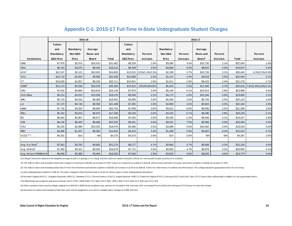#### Appendix C-1: 2015-17 Full-Time In-State Undergraduate Student Charges

|                                      |                     |             | 2015-16    |              |                     |                         |           |          | 2016-17            |            |              |                              |
|--------------------------------------|---------------------|-------------|------------|--------------|---------------------|-------------------------|-----------|----------|--------------------|------------|--------------|------------------------------|
|                                      | Tuition             |             |            |              | <b>Tuition</b>      |                         |           |          |                    |            |              |                              |
|                                      | and                 | Mandatory   | Average    |              | and                 |                         | Mandatory |          | Average            |            |              |                              |
|                                      | Mandatory           | Non-E&G     | Room and   |              | Mandatory           | Percent                 | Non-E&G   | Percent  | Room and           | Percent    |              | Percent                      |
| <b>Institutions</b>                  | <b>E&amp;G Fees</b> | <b>Fees</b> | Board      | <b>Total</b> | <b>E&amp;G Fees</b> | Increase                | Fees      | Increase | Board <sup>1</sup> | Increase   | <b>Total</b> | Increase                     |
| <b>GMU</b>                           | \$7,976             | \$2,976     | \$10,510   | \$21,462     | \$8,204             | 2.9%                    | \$3,096   | 4.0%     | \$10,730           | 2.1%       | \$22,030     | 2.6%                         |
| ODU                                  | \$6,193             | \$3,575     | \$9,446    | \$19,214     | \$6,348             | 2.5%                    | \$3,698   | 3.4%     | \$9,824            | 4.0%       | \$19,870     | 3.4%                         |
| UVA <sup>2</sup>                     | \$12,347            | \$2,121     | \$10,401   | \$24,869     |                     | \$13,515 9.5%/1.4%/1.5% | \$2,199   | 3.7%     | \$10,726           | 3.1%       | \$26,440     | 6.3%/2.3%/2;4%               |
| VCU                                  | \$10,719            | \$2,053     | \$9,586    | \$22,358     | \$10,989            | 2.5%                    | \$2,141   | 4.3%     | \$9,919            | 3.5%       | \$23,049     | 3.1%                         |
| $V$ T                                | \$10,628            | \$1,857     | \$8,226    | \$20,711     | \$10,941            | 2.9%                    | \$1,911   | 2.9%     | \$8,424            | 2.4%       | \$21,276     | 2.7%                         |
| $\text{CWM}^3$                       | \$14,114            | \$5,258     | \$10,978   | \$30,350     | \$15,810            | 12%/0%/0%/0%            | \$5,424   | 3.2%     | \$11,382           | 3.7%       |              | \$32,616 7.5%/1.9%/2.0%/2.1% |
| CNU                                  | \$7,642             | \$4,884     | \$10,614   | \$23,140     | \$7,870             | 3.0%                    | \$5,184   | 6.1%     | \$10,914           | 2.8%       | \$23,968     | 3.6%                         |
| <b>UVA-Wise</b>                      | \$5,210             | \$4,010     | \$10,256   | \$19,476     | \$5,369             | 3.1%                    | \$4,170   | 4.0%     | \$10,346           | 0.9%       | \$19,885     | 2.1%                         |
| <b>JMU</b>                           | \$5,724             | \$4,342     | \$9,396    | \$19,462     | \$5,896             | 3.0%                    | \$4,494   | 3.5%     | \$9,728            | 3.5%       | \$20,118     | 3.4%                         |
| LU                                   | \$7,170             | \$4,740     | \$9,558    | \$21,468     | \$7,350             | 2.5%                    | \$4,890   | 3.2%     | \$9,944            | 4.0%       | \$22,184     | 3.3%                         |
| <b>UMW</b>                           | \$7,716             | \$3,354     | \$9,694    | \$20,764     | \$7,948             | 3.0%                    | \$3,622   | 8.0%     | \$9,938            | 2.5%       | \$21,508     | 3.6%                         |
| <b>NSU</b>                           | \$5,162             | \$3,204     | \$8,970    | \$17,336     | \$5,318             | 3.0%                    | \$3,420   | 6.7%     | \$9,490            | 5.8%       | \$18,228     | 5.1%                         |
| <b>RU</b>                            | \$6,842             | \$2,967     | \$8,677    | \$18,486     | \$7,045             | 3.0%                    | \$3,036   | 2.3%     | \$8,946            | 3.1%       | \$19,027     | 2.9%                         |
| VM                                   | \$8,136             | \$8,400     | \$8,666    | \$25,202     | \$8,461             | 4.0%                    | \$9,031   | 7.5%     | \$8,968            | 3.5%       | \$26,460     | 5.0%                         |
| <b>VSU</b>                           | \$5,230             | \$2,996     | \$10,252   | \$18,478     | \$5,386             | 3.0%                    | \$3,086   | 3.0%     | \$10,562           | 3.0%       | \$19,034     | 3.0%                         |
| <b>RBC</b>                           | \$4,086             | \$1,407     | \$9,060    | \$14,553     | \$4,224             | 3.4%                    | \$1,488   | 5.8%     | \$9,820            | 8.4%       | \$15,532     | 6.7%                         |
| $VCCS$ <sup><math>(4,5)</math></sup> | \$4,261             | \$14        | <b>N/A</b> | \$4,275      | \$4,373             | 2.6%                    | \$14      | 0.0%     | <b>N/A</b>         | <b>N/A</b> | \$4,387      | 2.6%                         |
|                                      |                     |             |            |              |                     |                         |           |          |                    |            |              |                              |
| Avg. 4-yr Insts <sup>6</sup>         | \$7,810             | \$3,782     | \$9,682    | \$21,274     | \$8,177             | 4.7%                    | \$3,960   | 4.7%     | \$9,989            | 3.2%       | \$22,126     | 4.0%                         |
| Avg. All Insts <sup>6</sup>          | \$7,382             | \$3,421     | \$9,643    | \$19,879     | \$7,721             | 4.6%                    | \$3,583   | 4.7%     | \$9,979            | 3.5%       | \$20,695     | 4.1%                         |
| Avg. All excl CWM&UVA                | \$6,846             | \$3,385     | \$9,494    | \$19,092     | \$7,048             | 2.9%                    | \$3,552   | 4.9%     | \$9,825            | 3.5%       | \$19,770     | 3.6%                         |

(1) Charges listed here represent the weighted average double occupangy room charge and the maximum weekly meal plan offered, not necessarily the plan used by most students.

(2) The 2016-17 tuition and mandatory E&G fees charge for freshman is \$ 13,515, an increase of 9.5% Tuition for sophomore students is \$ 12,515, 14% increase and tuition for junior and senior students is \$ 11,515, an increa

(3) The 2016-17 tuition and mandatory E&G fees for first-time freshmen and transfer students is \$ 5.810, an increase of 12.3% over 2015-16. Tuition for other levels of students has 0% increase. The college adopted a quaran

in-state undergraduate students in 2013-14. The tuition charged in their freshman year is frozen for all four years of their undergraduate attendance.

(4) Northern Virginia (NVCC), J.Sargent Reynolds (JSRCC), Tidewater (TCC), Thomas Nelson (TNCC), Virginia Western (VWCC), Piedmont Virginia (PVCC), Germana (GCC) and John Tyler (JTCC) have tuition differentials in addition n-state undergraduate students in 2013-14. The tuition charged in their treshman year is frozen for all four years of their undergradu<br>(4) Northern Virginia (NVCC), J.Sargent Reynolds (JSRCC), Tidewater (TCC), Thomas Nelso

The differentials per academic year are as follows: NVCC-\$762; JSRR-\$123; TCC-\$60; TNCC-\$60; VWCC-\$60, PVCC-\$30, GCC-\$30, and JTCC-\$15.

(5) Other mandatory fees vary by college, ranging from \$64.50 to \$850.50 per academic year, and are not included in this summary. N/A in Average Room and Board is because VCCS does not have this charge.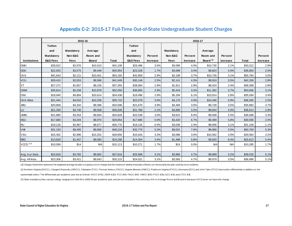|                     |                     |           | 2015-16      |              |                     |          |           | 2016-17         |                      |            |              |          |
|---------------------|---------------------|-----------|--------------|--------------|---------------------|----------|-----------|-----------------|----------------------|------------|--------------|----------|
|                     | <b>Tuition</b>      |           |              |              | <b>Tuition</b>      |          |           |                 |                      |            |              |          |
|                     | and                 | Mandatory | Average      |              | and                 |          | Mandatory |                 | Average              |            |              |          |
|                     | Mandatory           | Non-E&G   | Room and     |              | Mandatory           | Percent  | Non-E&G   | Percent         | Room and             | Percent    |              | Percent  |
| <b>Institutions</b> | <b>E&amp;G Fees</b> | Fees      | <b>Board</b> | <b>Total</b> | <b>E&amp;G Fees</b> | Increase | Fees      | <b>Increase</b> | Board <sup>(1)</sup> | Increase   | <b>Total</b> | Increase |
| <b>GMU</b>          | \$28,622            | \$2,976   | \$10,510     | \$42,108     | \$29,486            | 3.0%     | \$3,096   | 4.0%            | \$10,730             | 2.1%       | \$43,312     | 2.9%     |
| ODU                 | \$22,933            | \$3,575   | \$9,446      | \$35,954     | \$23,328            | 1.7%     | \$3,698   | 3.4%            | \$9,824              | 4.0%       | \$36,850     | 2.5%     |
| <b>UVA</b>          | \$41,643            | \$2,121   | \$10,401     | \$54,165     | \$42,859            | 2.9%     | \$2,199   | 3.7%            | \$10,726             | 3.1%       | \$55,784     | 3.0%     |
| VCU                 | \$29,410            | \$2,053   | \$9,586      | \$41,049     | \$30,146            | 2.5%     | \$2,141   | 4.3%            | \$9,919              | 3.5%       | \$42,206     | 2.8%     |
| VT                  | \$27,272            | \$1,857   | \$8,226      | \$37,355     | \$28,064            | 2.9%     | \$1,911   | 2.9%            | \$8,424              | 2.4%       | \$38,399     | 2.8%     |
| <b>CWM</b>          | \$35,814            | \$5,258   | \$10,978     | \$52,050     | \$36,850            | 2.9%     | \$5,424   | 3.2%            | \$11,382             | 3.7%       | \$53,656     | 3.1%     |
| <b>CNU</b>          | \$18,940            | \$4,884   | \$10,614     | \$34,438     | \$19,496            | 2.9%     | \$5,184   | 6.1%            | \$10,914             | 2.8%       | \$35,594     | 3.4%     |
| <b>UVA-Wise</b>     | \$21,444            | \$4,010   | \$10,256     | \$35,710     | \$22,079            | 3.0%     | \$4,170   | 4.0%            | \$10,346             | 0.9%       | \$36,595     | 2.5%     |
| <b>JMU</b>          | \$20,858            | \$4,342   | \$9,396      | \$34,596     | \$21,670            | 3.9%     | \$4,494   | 3.5%            | \$9,728              | 3.5%       | \$35,892     | 3.7%     |
| LU                  | \$21,330            | \$4,740   | \$9,558      | \$35,628     | \$21,780            | 2.1%     | \$4,890   | 3.2%            | \$9,944              | 4.0%       | \$36,614     | 2.8%     |
| <b>UMW</b>          | \$21,880            | \$3,354   | \$9,694      | \$34,928     | \$22,538            | 3.0%     | \$3,622   | 8.0%            | \$9,938              | 2.5%       | \$36,098     | 3.3%     |
| <b>NSU</b>          | \$17,680            | \$3,204   | \$8,970      | \$29,854     | \$17,680            | 0.0%     | \$3,420   | 6.7%            | \$9,490              | 5.8%       | \$30,590     | 2.5%     |
| <b>RU</b>           | \$19,126            | \$2,967   | \$8,677      | \$30,770     | \$19,126            | 0.0%     | \$3,036   | 2.3%            | \$8,946              | 3.1%       | \$31,108     | 1.1%     |
| VM                  | \$31,150            | \$8,400   | \$8,666      | \$48,216     | \$32,770            | 5.2%     | \$9,031   | 7.5%            | \$8,968              | 3.5%       | \$50,769     | 5.3%     |
| VSU                 | \$15,402            | \$2,996   | \$10,252     | \$28,650     | \$15,916            | 3.3%     | \$3,086   | 3.0%            | \$10,562             | 3.0%       | \$29,564     | 3.2%     |
| <b>RBC</b>          | \$13,829            | \$1,407   | \$9,060      | \$24,296     | \$14,304            | 3.4%     | \$1,488   | 5.8%            | \$9,820              | 8.4%       | \$25,612     | 5.4%     |
| $VCCS$ $(2,3)$      | \$10,099            | \$14      | <b>N/A</b>   | \$10,113     | \$10,271            | 1.7%     | \$14      | 0.0%            | <b>N/A</b>           | <b>N/A</b> | \$10,285     | 1.7%     |
|                     |                     |           |              |              |                     |          |           |                 |                      |            |              |          |
| Avg. 4-yr Insts.    | \$24,818            | \$3,782   | \$9,682      | \$37,616     | \$25,586            | 3.1%     | \$3,960   | 4.7%            | \$9,989              | 3.2%       | \$39,535     | 5.1%     |
| Avg. All Insts.     | \$23,306            | \$3,421   | \$9,643      | \$35,215     | \$24,021            | 3.1%     | \$3,583   | 4.7%            | \$9,979              | 3.5%       | \$36,996     | 5.1%     |

#### Appendix C-2: 2015-17 Full-Time Out-of-State Undergraduate Student Charges

(1) Charges listed here represent the weighted average double occupancy room charge and the maximum weekly meal plan offered, not necessarily the plan used by most students.

(2) Northern Virginia (NVCC), J.Sargent Reynolds (JSRCC), Tidewater (TCC), Thomas Nelson (TNCC), Virginia Western (VWCC), Piedmont Virginia (PVCC), Germana (GCC) and John Tyler (JTCC) have tuition differentials in addition

systemwide tuition. The differentials per academic year are as follows: NVCC-\$762; JSRR-\$123; TCC-\$60; TNCC-\$60; VWCC-\$60, PVCC-\$30, GCC-\$30, and JTCC-\$15.

(3) Other mandatory fees vary by college, ranging from \$64.50 to \$850.50 per academic year, and are not included in this summary. N/A in Average Room and Board is because VCCS does not have this charge.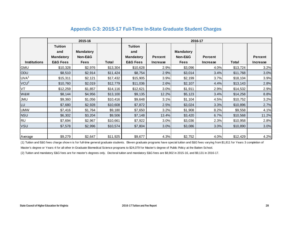#### **2015-16 Tuition Tuition and Mandatory and Mandatory Mandatory Non-E&G Mandatory Percent Non-E&G Percent Percent Institutions E&G Fees Fees Total E&G Fees Increase Fees Increase Total Increase** GMU | \$10,328 | \$2,976 | \$13,304 | \$10,628 | 2.9% | \$3,096 | 4.0% | \$13,724 | 3.2% ODU \$8,510 | \$2,914 | \$11,424 | \$8,754 | \$3,014 | 3.4% | \$11,768 | 3.0%  $UVA<sup>1</sup>$ \$15,311 \$2,121 \$17,432 \$15,905 3.9% \$2,199 3.7% \$18,104 \$18,104 \$19  $VCU<sup>2</sup>$ \$10,760 \$2,019 \$12,779 \$11,036 2.6% \$2,107 4.4% \$13,143 2.8% V T 512,259 \$1,357 \$14,116 \$12,621 \$13,304 \$10,628 52,199 3.7% \$18,104 3.9% <br>
WAN \$12,528 \$1,657 \$14,116 \$12,621 3.0% \$2,107 4.4% \$13,143 2.8% <br>
WAN \$12,525 \$1,657 \$14,116 \$12,621 3.0% \$1,911 2.9% \$14,133 2.8% <br>
WAM \$8,144 W&M | \$8,144 | \$4,956 | \$13,100 | \$9,135 | 12.2% | \$5,123 | 3.4% | \$14,258 | 8.8% JMU \$9,360 | \$1,056 | \$10,416 | \$9,648 | \$1,104 | 4.5% | \$10,752 | 3.2% LU | \$7,680 | \$2,928 | \$10,608 | \$7,872 | 2.5% | \$3,024 | 3.3% | \$10,896 | 2.7% UMW | \$7,416 | \$1,764 | \$9,180 | \$7,650 | 3.2% | \$1,908 | 8.2% | \$9,558 | 4.1% NSU | \$6,302 | \$3,204 | \$9,506 | \$7,148 | 13.4% | \$3,420 | 6.7% | \$10,568 | 11.2% RU | \$7,694 | \$2,967 | \$10,661 | \$7,922 | 3.0%| \$3,036 | 2.3%| \$10,958 | 2.8% VSU | \$7,578 | \$2,996 | \$10,574 | \$7,804 | 3.0%| \$3,086 | 3.0%| \$10,890 | 3.0% Average | \$9,279 |\$2,647 | \$11,925 \$9,677 | 4.3% \$2,752 | 4.0% \$12,429 | 4.2% (1) Tuition and E&G fees charge show n is for full-time general graduate students. Eleven graduate programs have special tuition and E&G fees varying from \$1,811 for Years 3 completion of (1) Tuition and E&G fees charge sh **2016-17**

#### Appendix C-3: 2015-17 Full-Time In-State Graduate Student Charges

Master's degree or Years 4 for all other in Graduate Biomedical Science programs to \$24,079 for Master's degree of Public Policy at the Batten School.

(2) Tuition and mandatory E&G fees are for master's degrees only. Doctoral tuition and mandatory E&G fees are \$8,902 in 2015-16, and \$9,131 in 2016-17.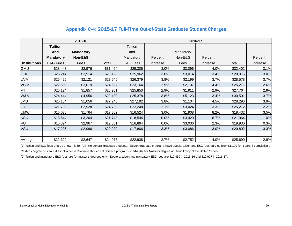#### Appendix C-4: 2015-17 Full-Time Out-of-State Graduate Student Charges

|                     |                     | 2015-16          |          |           |          | 2016-17   |          |          |          |
|---------------------|---------------------|------------------|----------|-----------|----------|-----------|----------|----------|----------|
|                     | <b>Tuition</b>      |                  |          | Tuition   |          |           |          |          |          |
|                     | and                 | <b>Mandatory</b> |          | and       |          | Mandatory |          |          |          |
|                     | <b>Mandatory</b>    | Non-E&G          |          | Mandatory | Percent  | Non-E&G   | Percent  |          | Percent  |
| <b>Institutions</b> | <b>E&amp;G Fees</b> | <b>Fees</b>      | Total    | E&G Fees  | Increase | Fees      | Increase | Total    | Increase |
| <b>GMU</b>          | \$28,448            | \$2,976          | \$31,424 | \$29,306  | 3.0%     | \$3,096   | 4.0%     | \$32,402 | 3.1%     |
| ODU                 | \$25,214            | \$2,914          | \$28,128 | \$25,962  | 3.0%     | \$3,014   | 3.4%     | \$28,976 | 3.0%     |
| UVA <sup>1</sup>    | \$25,425            | \$2,121          | \$27,546 | \$26,379  | 3.8%     | \$2,199   | 3.7%     | \$28,578 | 3.7%     |
| VCU <sup>2</sup>    | \$22,608            | \$2,019          | \$24,627 | \$23,164  | 2.5%     | \$2,107   | 4.4%     | \$25,271 | 2.6%     |
| VT                  | \$25,124            | \$1,857          | \$26,981 | \$25,853  | 2.9%     | \$1,911   | 2.9%     | \$27,764 | 2.9%     |
| W&M                 | \$24,444            | \$4,956          | \$29,400 | \$25,378  | 3.8%     | \$5,123   | 3.4%     | \$30,501 | 3.7%     |
| <b>JMU</b>          | \$26,184            | \$1,056          | \$27,240 | \$27,192  | 3.8%     | \$1,104   | 4.5%     | \$28,296 | 3.9%     |
| LU                  | \$21,792            | \$2,928          | \$24,720 | \$22,248  | 2.1%     | \$3,024   | 3.3%     | \$25,272 | 2.2%     |
| <b>UMW</b>          | \$16,038            | \$1,764          | \$17,802 | \$16,524  | 3.0%     | \$1,908   | 8.2%     | \$18,432 | 3.5%     |
| <b>NSU</b>          | \$18,544            | \$3,204          | \$21,748 | \$18,544  | 0.0%     | \$3,420   | 6.7%     | \$21,964 | 1.0%     |
| <b>RU</b>           | \$16,894            | \$2,967          | \$19,861 | \$16,894  | 0.0%     | \$3,036   | 2.3%     | \$19,930 | 0.3%     |
| <b>VSU</b>          | \$17,236            | \$2,996          | \$20,232 | \$17,806  | 3.3%     | \$3,086   | 3.0%     | \$20,892 | 3.3%     |
|                     |                     |                  |          |           |          |           |          |          |          |
| Average             | \$22,329            | \$2,647          | \$24,976 | \$22,938  | 2.7%     | \$2,752   | 4.0%     | \$25,690 | 2.9%     |

(1) Tuition and E&G fees charge show n is for full-time general graduate students. Eleven graduate programs have special tuition and E&G fees varying from \$1,129 for Years 3 completion of Master's degree or Years 4 for all other in Graduate Biomedical Science programs to \$44,967 for Master's degree of Public Policy at the Batten School.

(2) Tuition and mandatory E&G fees are for master's degrees only. Doctoral tuition and mandatory E&G fees are \$19,450 in 2015-16 and \$19,927 in 2016-17.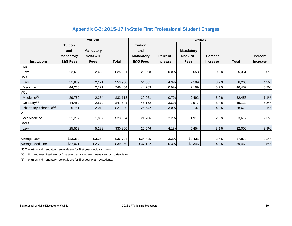#### Appendix C-5: 2015-17 In-State First Professional Student Charges

|                                  |                     | 2015-16          |              | 2016-17             |                 |                  |                 |              |                 |  |  |  |
|----------------------------------|---------------------|------------------|--------------|---------------------|-----------------|------------------|-----------------|--------------|-----------------|--|--|--|
|                                  | <b>Tuition</b>      |                  |              | <b>Tuition</b>      |                 |                  |                 |              |                 |  |  |  |
|                                  | and                 | <b>Mandatory</b> |              | and                 |                 | <b>Mandatory</b> |                 |              |                 |  |  |  |
|                                  | <b>Mandatory</b>    | Non-E&G          |              | <b>Mandatory</b>    | <b>Percent</b>  | Non-E&G          | <b>Percent</b>  |              | <b>Percent</b>  |  |  |  |
| <b>Institutions</b>              | <b>E&amp;G Fees</b> | <b>Fees</b>      | <b>Total</b> | <b>E&amp;G Fees</b> | <b>Increase</b> | <b>Fees</b>      | <b>Increase</b> | <b>Total</b> | <b>Increase</b> |  |  |  |
| GMU                              |                     |                  |              |                     |                 |                  |                 |              |                 |  |  |  |
| Law                              | 22,698              | 2,653            | \$25,351     | 22,698              | 0.0%            | 2,653            | 0.0%            | 25,351       | 0.0%            |  |  |  |
| <b>UVA</b>                       |                     |                  |              |                     |                 |                  |                 |              |                 |  |  |  |
| Law                              | 51,839              | 2,121            | \$53,960     | 54,061              | 4.3%            | 2,199            | 3.7%            | 56,260       | 4.3%            |  |  |  |
| Medicine                         | 44,283              | 2,121            | \$46,404     | 44,283              | 0.0%            | 2,199            | 3.7%            | 46,482       | 0.2%            |  |  |  |
| VCU                              |                     |                  |              |                     |                 |                  |                 |              |                 |  |  |  |
| Medicine <sup>(1)</sup>          | 29,759              | 2,354            | \$32,113     | 29,961              | 0.7%            | 2,492            | 5.9%            | 32,453       | 1.1%            |  |  |  |
| Dentistry $(2)$                  | 44,462              | 2,879            | \$47,341     | 46,152              | 3.8%            | 2,977            | 3.4%            | 49,129       | 3.8%            |  |  |  |
| Pharmacy (PharmD) <sup>(3)</sup> | 25,781              | 2,049            | \$27,830     | 26,542              | 3.0%            | 2,137            | 4.3%            | 28,679       | 3.1%            |  |  |  |
| VT                               |                     |                  |              |                     |                 |                  |                 |              |                 |  |  |  |
| Vet Medicine                     | 21,237              | 1,857            | \$23,094     | 21,706              | 2.2%            | 1,911            | 2.9%            | 23,617       | 2.3%            |  |  |  |
| W&M                              |                     |                  |              |                     |                 |                  |                 |              |                 |  |  |  |
| Law                              | 25,512              | 5,288            | \$30,800     | 26,546              | 4.1%            | 5,454            | 3.1%            | 32,000       | 3.9%            |  |  |  |
|                                  |                     |                  |              |                     |                 |                  |                 |              |                 |  |  |  |
| Average Law                      | \$33,350            | \$3,354          | \$36,704     | \$34,435            | 3.3%            | \$3,435          | 2.4%            | 37,870       | 3.2%            |  |  |  |
| Average Medicine                 | \$37,021            | \$2,238          | \$39,259     | \$37,122            | 0.3%            | \$2,346          | 4.8%            | 39,468       | 0.5%            |  |  |  |

(1) The tuition and mandatory fee totals are for first year medical students.

(2) Tuition and fees listed are for first year dental students. Fees vary by student level.

(3) The tuition and mandatory fee totals are for first year PharmD students.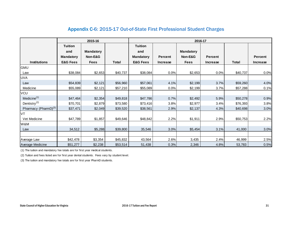#### Appendix C-6: 2015-17 Out-of-State First Professional Student Charges

|                                  |                     | 2015-16          |              | 2016-17             |                |                  |                 |              |                |  |  |  |  |
|----------------------------------|---------------------|------------------|--------------|---------------------|----------------|------------------|-----------------|--------------|----------------|--|--|--|--|
|                                  | <b>Tuition</b>      |                  |              | <b>Tuition</b>      |                |                  |                 |              |                |  |  |  |  |
|                                  | and                 | <b>Mandatory</b> |              | and                 |                | <b>Mandatory</b> |                 |              |                |  |  |  |  |
|                                  | <b>Mandatory</b>    | Non-E&G          |              | <b>Mandatory</b>    | <b>Percent</b> | Non-E&G          | Percent         |              | <b>Percent</b> |  |  |  |  |
| Institutions                     | <b>E&amp;G Fees</b> | <b>Fees</b>      | <b>Total</b> | <b>E&amp;G Fees</b> | Increase       | <b>Fees</b>      | <b>Increase</b> | <b>Total</b> | Increase       |  |  |  |  |
| <b>GMU</b>                       |                     |                  |              |                     |                |                  |                 |              |                |  |  |  |  |
| Law                              | \$38,084            | \$2,653          | \$40,737     | \$38,084            | 0.0%           | \$2,653          | 0.0%            | \$40,737     | 0.0%           |  |  |  |  |
| <b>UVA</b>                       |                     |                  |              |                     |                |                  |                 |              |                |  |  |  |  |
| Law                              | \$54,839            | \$2,121          | \$56,960     | \$57,061            | 4.1%           | \$2,199          | 3.7%            | \$59,260     | 4.0%           |  |  |  |  |
| Medicine                         | \$55,089            | \$2,121          | \$57,210     | \$55,089            | 0.0%           | \$2,199          | 3.7%            | \$57,288     | 0.1%           |  |  |  |  |
| VCU                              |                     |                  |              |                     |                |                  |                 |              |                |  |  |  |  |
| Medicine <sup>(1)</sup>          | \$47,464            | \$2,354          | \$49,818     | \$47,786            | 0.7%           | \$2,492          | 5.9%            | \$50,278     | 0.9%           |  |  |  |  |
| Dentistry <sup>(2)</sup>         | \$70,701            | \$2,879          | \$73,580     | \$73,416            | 3.8%           | \$2,977          | 3.4%            | \$76,393     | 3.8%           |  |  |  |  |
| Pharmacy (PharmD) <sup>(3)</sup> | \$37,471            | \$2,049          | \$39,520     | \$38,561            | 2.9%           | \$2,137          | 4.3%            | \$40,698     | 3.0%           |  |  |  |  |
| VT                               |                     |                  |              |                     |                |                  |                 |              |                |  |  |  |  |
| Vet Medicine                     | \$47,789            | \$1,857          | \$49,646     | \$48,842            | 2.2%           | \$1,911          | 2.9%            | \$50,753     | 2.2%           |  |  |  |  |
| W&M                              |                     |                  |              |                     |                |                  |                 |              |                |  |  |  |  |
| Law                              | 34,512              | \$5,288          | \$39,800     | 35,546              | 3.0%           | \$5,454          | 3.1%            | 41,000       | 3.0%           |  |  |  |  |
|                                  |                     |                  |              |                     |                |                  |                 |              |                |  |  |  |  |
| Average Law                      | \$42,478            | \$3,354          | \$45,832     | 43,564              | 2.6%           | 3,435            | 2.4%            | 46,999       | 2.5%           |  |  |  |  |
| Average Medicine                 | \$51,277            | \$2,238          | \$53,514     | 51,438              | 0.3%           | 2,346            | 4.8%            | 53,783       | 0.5%           |  |  |  |  |

(1) The tuition and mandatory fee totals are for first year medical students.

(2) Tuition and fees listed are for first year dental students. Fees vary by student level.

(3) The tuition and mandatory fee totals are for first year PharmD students.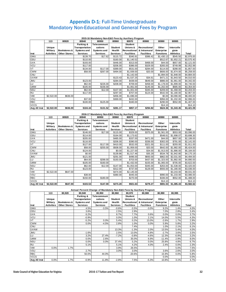#### Appendix D-1: Full-Time Undergraduate Mandatory Non-Educational and General Fees by Program

|              |                   |                         |                 | 2015-16 Mandatory Non-E&G Fees by Auxiliary Program |                 |                   |                           |                   |                  |            |
|--------------|-------------------|-------------------------|-----------------|-----------------------------------------------------|-----------------|-------------------|---------------------------|-------------------|------------------|------------|
|              | 113               | 80920                   | 80940           | 80950                                               | 80960           | 80970             | 80980                     | 80990             | 80995            |            |
|              |                   |                         | Parking &       | Telecommuni                                         |                 | Student           |                           |                   |                  |            |
|              | Unique            |                         | Transportation  | cations                                             | Student         | Unions &          | Recreational              | Other             | Intercolle       |            |
|              | <b>Military</b>   | <b>Bookstores &amp;</b> | Systems and     | <b>Systems and</b>                                  | Health          |                   | Recreational & Intramural | <b>Enterprise</b> | giate            |            |
| Inst         | <b>Activities</b> | <b>Other Stores</b>     | <b>Services</b> | Services                                            | <b>Services</b> | <b>Facilities</b> | <b>Facilities</b>         | <b>Functions</b>  | <b>Athletics</b> | Total      |
| <b>GMU</b>   |                   |                         | \$139.70        | \$17.62                                             | \$115.72        | \$340.91          | \$386.42                  | \$1,430.13        | \$545.50         | \$2,976.00 |
| ODU          |                   |                         | \$110.00        |                                                     | \$160.00        | \$1,140.52        |                           | \$512.67          | \$1,652.21       | \$3,575.40 |
| <b>UVA</b>   |                   |                         | \$193.00        |                                                     | \$446.00        | \$313.00          | \$468.00                  | \$44.00           | \$657.00         | \$2,121.00 |
| <b>VCU</b>   |                   |                         | \$117.00        |                                                     | \$206.00        | \$386.00          | \$329.00                  | \$265.00          | \$749.99         | \$2,052.99 |
| VT           |                   |                         | \$134.00        | \$117.00                                            | \$389.00        | \$531.00          | \$284.00                  | \$114.00          | \$288.00         | \$1,857.00 |
| <b>CWM</b>   |                   |                         | \$58.00         | \$267.00                                            | \$494.00        | \$1,939.00        | \$20.00                   | \$606.00          | \$1,874.00       | \$5,258.00 |
| <b>CNU</b>   |                   |                         |                 |                                                     |                 | \$1,142.00        |                           | \$1,894.00        | \$1,848.00       | \$4,884.00 |
| <b>UVAW</b>  |                   |                         |                 |                                                     | \$123.43        | \$1,537.25        | \$34.61                   | \$471.21          | \$1,843.50       | \$4,010.00 |
| <b>UMU</b>   |                   |                         | \$123.00        |                                                     | \$284.00        | \$439.00          | \$649.00                  | \$886.00          | \$1,961.00       | \$4,342.00 |
| LU           |                   |                         | \$62.00         | \$226.00                                            | \$208.00        | \$709.00          | \$458.00                  | \$1,178.00        | \$1,899.00       | \$4,740.00 |
| <b>UMW</b>   |                   |                         | \$105.00        | \$156.00                                            |                 | \$1,061.00        | \$145.00                  | \$1,202.00        | \$685.00         | \$3,354.00 |
| <b>NSU</b>   |                   |                         | \$62.00         | \$12.00                                             | \$107.00        | \$1,001.00        | \$345.00                  | \$209.00          | \$1,468.00       | \$3,204.00 |
| <b>RU</b>    |                   |                         | \$117.00        |                                                     | \$297.00        | \$707.00          | \$124.00                  | \$542.00          | \$1,180.00       | \$2,967.00 |
| VMI          | \$2,522.00        | \$636.00                |                 |                                                     | \$456.00        | \$1,696.00        |                           | \$0.00            | \$3,090.00       | \$8,400.00 |
| VSU          |                   |                         | \$37.00         |                                                     | \$369.00        | \$432.00          |                           | \$956.00          | \$1,202.00       | \$2,996.00 |
| <b>RBC</b>   |                   |                         | \$100.00        | \$125.00                                            |                 | \$340.00          |                           | \$290.00          | \$552.00         | \$1,407.00 |
| <b>VCCS</b>  |                   |                         |                 |                                                     |                 |                   |                           | \$14.10           |                  | \$14.10    |
| Avg All Inst | \$2,522.00        | \$636.00                | \$104.44        | \$131.52                                            | \$281.17        | \$857.17          | \$294.82                  | \$624.36          | \$1,343.45       | \$3,421.09 |

#### **2016-17 Mandatory Non-E&G Fees by Auxiliary Program**

|              | 113               | 80920                   | 80940              | 80950       | 80960           | 80970             | 80980             | 80990             | 80995            |            |
|--------------|-------------------|-------------------------|--------------------|-------------|-----------------|-------------------|-------------------|-------------------|------------------|------------|
|              |                   |                         | Parking &          | Telecommuni |                 | <b>Student</b>    |                   |                   |                  |            |
|              | Unique            |                         | Transportation     | cations     | <b>Student</b>  | Unions &          | Recreational      | Other             | Intercolle       |            |
|              | <b>Military</b>   | <b>Bookstores &amp;</b> | <b>Systems and</b> | Systems and | Health          | Recreational      | & Intramural      | <b>Enterprise</b> | giate            |            |
| Inst         | <b>Activities</b> | <b>Other Stores</b>     | <b>Services</b>    | Services    | <b>Services</b> | <b>Facilities</b> | <b>Facilities</b> | <b>Functions</b>  | <b>Athletics</b> | Total      |
| <b>GMU</b>   |                   |                         | \$146.00           | \$17.00     | \$115.00        | \$329.00          | \$375.00          | \$1,561.00        | \$553.00         | \$3,096.00 |
| ODU          |                   |                         | \$114.00           |             | \$164.00        | \$1,173.62        |                   | \$548.61          | \$1,698.07       | \$3,698.30 |
| <b>UVA</b>   |                   |                         | \$205.00           |             | \$485.00        | \$337.00          | \$471.00          | \$44.00           | \$657.00         | \$2,199.00 |
| VCU          |                   |                         | \$116.00           |             | \$206.00        | \$390.00          | \$336.00          | \$302.00          | \$791.00         | \$2,141.00 |
| VT           |                   |                         | \$127.00           | \$117.00    | \$410.00        | \$532.00          | \$321.00          | \$111.00          | \$293.00         | \$1,911.00 |
| <b>CWM</b>   |                   |                         | \$58.00            | \$255.00    | \$508.00        | \$1,959.00        | \$20.00           | \$642.00          | \$1,982.00       | \$5,424.00 |
| <b>CNU</b>   |                   |                         | \$124.00           |             | \$0.00          | \$1,227.00        | \$34.00           | \$1,913.00        | \$1,886.00       | \$5,184.00 |
| <b>UVAW</b>  |                   |                         | \$0.00             |             | \$139.86        | \$1,517.46        | \$35.29           | \$534.78          | \$1,942.80       | \$4,170.19 |
| <b>UMU</b>   |                   |                         | \$121.00           |             | \$291.00        | \$496.00          | \$693.00          | \$862.00          | \$2,031.00       | \$4,494.00 |
| LU           |                   |                         | \$64.00            | \$288.00    | \$193.00        | \$703.00          | \$437.00          | \$1,323.00        | \$1,882.00       | \$4,890.00 |
| <b>UMW</b>   |                   |                         | \$105.00           | \$160.00    |                 | \$1,432.00        | \$155.00          | \$1,065.00        | \$705.00         | \$3,622.00 |
| <b>NSU</b>   |                   |                         | \$62.00            | \$12.00     | \$147.00        | \$1,053.00        | \$345.00          | \$263.00          | \$1,538.00       | \$3,420.00 |
| <b>RU</b>    |                   |                         | \$123.00           |             | \$312.00        | \$737.00          | \$129.00          | \$555.00          | \$1,180.00       | \$3,036.00 |
| VMI          | \$2,522.00        | \$647.00                |                    |             | \$474.00        | \$2,145.00        |                   |                   | \$3,243.00       | \$9,031.00 |
| <b>VSU</b>   |                   |                         | \$38.00            |             | \$380.00        | \$445.00          |                   | \$990.00          | \$1,233.00       | \$3,086.00 |
| <b>RBC</b>   |                   |                         | \$150.00           | \$180.00    |                 | \$270.00          |                   | \$336.00          | \$552.00         | \$1,488.00 |
| <b>VCCS</b>  |                   |                         |                    |             |                 |                   |                   | \$14.10           |                  | \$14.10    |
| Avg All Inst | \$2,522.00        | \$647.00                | \$103.53           | \$147.00    | \$273.20        | \$921.63          | \$279.27          | \$691.53          | \$1.385.43       | \$3,582.62 |

#### **Annual Percent Change of Mandatory Non-E&G Fees by Auxiliary Program**

|              | 113               | 80,920                  | Allingar Fergerit Onange of Mandatory Non-Eao Fees by Auxinary Flogram<br>80,940 | 80,950          | 80,960          | 80,970              | 80,980            | 80,990            | 80,995           |       |
|--------------|-------------------|-------------------------|----------------------------------------------------------------------------------|-----------------|-----------------|---------------------|-------------------|-------------------|------------------|-------|
|              |                   |                         | Parking &                                                                        | Telecommuni     |                 | <b>Student</b>      |                   |                   |                  |       |
|              | Unique            |                         | Transportation                                                                   | cations         | Student         | Unions &            | Recreational      | Other             | Intercolle       |       |
|              | <b>Military</b>   | <b>Bookstores &amp;</b> | Systems and                                                                      | Systems and     | Health          | <b>Recreational</b> | & Intramural      | <b>Enterprise</b> | giate            |       |
| Inst         | <b>Activities</b> | <b>Other Stores</b>     | <b>Services</b>                                                                  | <b>Services</b> | <b>Services</b> | <b>Facilities</b>   | <b>Facilities</b> | <b>Functions</b>  | <b>Athletics</b> | Total |
| <b>GMU</b>   |                   |                         | 4.5%                                                                             | $-3.5%$         | $-0.6%$         | $-3.5%$             | $-3.0%$           | 9.2%              | 1.4%             | 4.0%  |
| ODU          |                   |                         | 3.6%                                                                             |                 | 2.5%            | 2.9%                |                   | 7.0%              | 2.8%             | 3.4%  |
| UVA          |                   |                         | 6.2%                                                                             |                 | 8.7%            | 7.7%                | 0.6%              | 0.0%              | 0.0%             | 3.7%  |
| VCU          |                   |                         | $-0.9%$                                                                          |                 | 0.0%            | 1.0%                | 2.1%              | 14.0%             | 5.5%             | 4.3%  |
| VT           |                   |                         | $-5.2%$                                                                          | 0.0%            | 5.4%            | 0.2%                | 13.0%             | $-2.6%$           | 1.7%             | 2.9%  |
| <b>CWM</b>   |                   |                         | 0.0%                                                                             | $-4.5%$         | 2.8%            | 1.0%                | 0.0%              | 5.9%              | 5.8%             | 3.2%  |
| <b>CNU</b>   |                   |                         |                                                                                  |                 |                 | 7.4%                |                   | 1.0%              | 2.1%             | 6.1%  |
| <b>UVAW</b>  |                   |                         |                                                                                  |                 | 13.3%           | $-1.3%$             | 2.0%              | 13.5%             | 5.4%             | 4.0%  |
| <b>UMU</b>   |                   |                         | $-1.6%$                                                                          |                 | 2.5%            | 13.0%               | 6.8%              | $-2.7%$           | 3.6%             | 3.5%  |
| LU           |                   |                         | 3.2%                                                                             | 27.4%           | $-7.2%$         | $-0.8%$             | $-4.6%$           | 12.3%             | $-0.9%$          | 3.2%  |
| <b>UMW</b>   |                   |                         | 0.0%                                                                             | 2.6%            |                 | 35.0%               | 6.9%              | $-11.4%$          | 2.9%             | 8.0%  |
| <b>NSU</b>   |                   |                         | 0.0%                                                                             | 0.0%            | 37.4%           | 5.2%                | 0.0%              | 25.8%             | 4.8%             | 6.7%  |
| RU           |                   |                         | 5.1%                                                                             |                 | 5.1%            | 4.2%                | 4.0%              | 2.4%              | 0.0%             | 2.3%  |
| VMI          | 0.0%              | 1.7%                    |                                                                                  |                 | 3.9%            | 26.5%               |                   |                   | 5.0%             | 7.5%  |
| VSU          |                   |                         | 2.7%                                                                             |                 | 3.0%            | 3.0%                |                   | 3.6%              | 2.6%             | 3.0%  |
| RBC          |                   |                         | 50.0%                                                                            | 44.0%           |                 | $-20.6%$            |                   | 15.9%             | 0.0%             | 5.8%  |
| <b>VCCS</b>  |                   |                         |                                                                                  |                 |                 |                     |                   | 0.0%              |                  | 0.0%  |
| Avg All Inst | 0.0%              | 1.7%                    | $-0.9%$                                                                          | 11.8%           | $-2.8%$         | 7.5%                | $-5.3%$           | 10.8%             | 3.1%             | 4.7%  |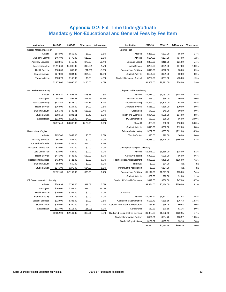#### Appendix D-2: Full-Time Undergraduate Mandatory Non-Educational and General Fees by Fee Item

| Institution                    | 2015-16    | 2016-17    | <b>Difference</b> | % Increase | Institution                      | 2015-16    | 2016-17    | <b>Difference</b> | % Increase |
|--------------------------------|------------|------------|-------------------|------------|----------------------------------|------------|------------|-------------------|------------|
| George Mason University        |            |            |                   |            | Virginia Tech                    |            |            |                   |            |
| Athletic                       | \$544.00   | \$552.00   | \$8.00            | 1.5%       | Art Fee                          | \$288.00   | \$293.00   | \$5.00            | 1.7%       |
| <b>Auxiliary Central</b>       | \$467.00   | \$479.00   | \$12.00           | 2.6%       | Athletic                         | \$134.00   | \$127.00   | (\$7.00)          | $-5.2%$    |
| <b>Auxiliary Services</b>      | \$338.61   | \$418.00   | \$79.39           | 23.4%      | Bus and Escort                   | \$389.00   | \$410.00   | \$21.00           | 5.4%       |
| Facilities/Building            | \$1,116.69 | \$1,098.00 | (\$18.69)         | $-1.7%$    | <b>Health Service</b>            | \$284.00   | \$321.00   | \$37.00           | 13.0%      |
| <b>Health Service</b>          | \$100.00   | \$99.00    | (\$1.00)          | $-1.0%$    | <b>Recreational Facilities</b>   | \$319.00   | \$322.00   | \$3.00            | 0.9%       |
| <b>Student Activity</b>        | \$270.00   | \$304.00   | \$34.00           | 12.6%      | <b>Student Activity</b>          | \$181.00   | \$181.00   | \$0.00            | 0.0%       |
| Transportation                 | \$139.70   | \$146.00   | \$6.30            | 4.5%       | Student Services - Annual        | \$262.00   | \$257.00   | (\$5.00)          | $-1.9%$    |
|                                | \$2,976.00 | \$3,096.00 | \$120.00          | 4.0%       |                                  | \$1,857.00 | \$1,911.00 | \$54.00           | 2.9%       |
|                                |            |            |                   |            |                                  |            |            |                   |            |
| <b>Old Dominion University</b> |            |            |                   |            | College of William and Mary      |            |            |                   |            |
| Athletic                       | \$1,652.21 | \$1,698.07 | \$45.86           | 2.8%       | Athletic                         | \$1,874.00 | \$1,982.00 | \$108.00          | 5.8%       |
| Contingent                     | \$81.08    | \$92.51    | \$11.43           | 14.1%      | Bus and Escort                   | \$58.00    | \$58.00    | \$0.00            | 0.0%       |
| Facilities/Building            | \$431.59   | \$456.10   | \$24.51           | 5.7%       | Facilities/Building              | \$1,621.00 | \$1,629.00 | \$8.00            | 0.5%       |
| <b>Health Service</b>          | \$160.00   | \$164.00   | \$4.00            | 2.5%       | <b>General Services</b>          | \$516.00   | \$536.00   | \$20.00           | 3.9%       |
| <b>Student Activity</b>        | \$756.33   | \$782.01   | \$25.68           | 3.4%       | Green Fee                        | \$40.00    | \$40.00    | \$0.00            | 0.0%       |
| <b>Student Union</b>           | \$384.19   | \$391.61   | \$7.42            | 1.9%       | Health and Wellness              | \$494.00   | \$508.00   | \$14.00           | 2.8%       |
| Transportation                 | \$110.00   | \$114.00   | \$4.00            | 3.6%       | PC Maintenance                   | \$30.00    | \$36.00    | \$6.00            | 20.0%      |
|                                | \$3,575.40 | \$3,698.30 | \$122.90          | 3.4%       | Photo ID                         | \$20.00    | \$30.00    | \$10.00           | 50.0%      |
|                                |            |            |                   |            | <b>Student Activity</b>          | \$318.00   | \$330.00   | \$12.00           | 3.8%       |
| University of Virginia         |            |            |                   |            | Telecom/Netw orking              | \$267.00   | \$255.00   | (\$12.00)         | $-4.5%$    |
| Athletic                       | \$657.00   | \$657.00   | \$0.00            | 0.0%       | <b>Tennis Center</b>             | \$20.00    | \$20.00    | \$0.00            | 0.0%       |
| <b>Auxiliary Services</b>      | \$67.00    | \$67.00    | \$0.00            | 0.0%       |                                  | \$5,258.00 | \$5,424.00 | \$166.00          | 3.2%       |
| Bus and Safe Ride              | \$193.00   | \$205.00   | \$12.00           | 6.2%       |                                  |            |            |                   |            |
| Microsoft License Fee          | \$20.00    | \$20.00    | \$0.00            | 0.0%       | Christopher New port University  |            |            |                   |            |
| Data Center Fee                | \$24.00    | \$24.00    | \$0.00            | 0.0%       | Athletic                         | \$1,848.00 | \$1,886.00 | \$38.00           | 2.1%       |
| <b>Health Service</b>          | \$446.00   | \$485.00   | \$39.00           | 8.7%       | <b>Auxiliary Support</b>         | \$993.00   | \$999.00   | \$6.00            | 0.6%       |
| <b>Recreational Facilities</b> | \$418.00   | \$421.00   | \$3.00            | 0.7%       | Facilities/Repair Replacement    | \$493.00   | \$458.00   | (\$35.00)         | $-7.1%$    |
| <b>Student Activity</b>        | \$50.00    | \$50.00    | \$0.00            | 0.0%       | Intrumual                        | \$0.00     | \$34.00    | n/a               | n/a        |
| <b>Student Union</b>           | \$246.00   | \$270.00   | \$24.00           | 9.8%       | Parking/auto registration        | \$0.00     | \$124.00   | n/a               | n/a        |
|                                | \$2,121.00 | \$2,199.00 | \$78.00           | 3.7%       | <b>Recreational Facilities</b>   | \$1,142.00 | \$1,227.00 | \$85.00           | 7.4%       |
|                                |            |            |                   |            | <b>Student Activity</b>          | \$89.00    | \$90.00    | \$1.00            | 1.1%       |
| VA Commonw ealth University    |            |            |                   |            | Student Life/Health Services     | \$319.00   | \$366.00   | \$47.00           | 14.7%      |
| Athletic                       | \$749.99   | \$791.00   | \$41.01           | 5.5%       |                                  | \$4,884.00 | \$5,184.00 | \$300.00          | 6.1%       |
| Contingent                     | \$265.00   | \$302.00   | \$37.00           | 14.0%      |                                  |            |            |                   |            |
| <b>Health Service</b>          | \$206.00   | \$206.00   | \$0.00            | 0.0%       | UVA-Wise                         |            |            |                   |            |
| <b>Student Activity</b>        | \$90.00    | \$90.00    | \$0.00            | 0.0%       | Athletic                         | \$1,774.27 | \$1,872.21 | \$97.94           | 5.5%       |
| <b>Student Services</b>        | \$329.00   | \$336.00   | \$7.00            | 2.1%       | Operation & Maintenance          | \$123.43   | \$139.86   | \$16.43           | 13.3%      |
| <b>Student Union</b>           | \$296.00   | \$300.00   | \$4.00            | 1.4%       | Outdoor Recreation & Intramurals | \$34.61    | \$35.29    | \$0.68            | 2.0%       |
| Transportation                 | \$117.00   | \$116.00   | (\$1.00)          | $-0.9%$    | Scholarship                      | \$69.23    | \$70.59    | \$1.36            | 2.0%       |
|                                | \$2,052.99 | \$2,141.00 | \$88.01           | 4.3%       | Stadium & Slemp Stdt Ctr Develop | \$1,375.38 | \$1,352.43 | (\$22.95)         | $-1.7%$    |
|                                |            |            |                   |            | Student Information System       | \$471.21   | \$534.78   | \$63.57           | 13.5%      |
|                                |            |            |                   |            | <b>Student Organizations</b>     | \$161.87   | \$165.03   | \$3.16            | 2.0%       |
|                                |            |            |                   |            |                                  | \$4,010.00 | \$4,170.19 | \$160.19          | 4.0%       |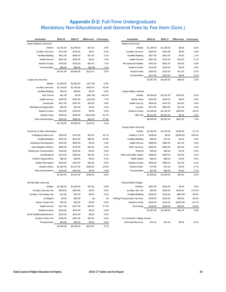#### Appendix D-2: Full-Time Undergraduate Mandatory Non-Educational and General Fees by Fee Item (Cont.)

| Institution                      | 2015-16    | 2016-17    | <b>Difference</b> | % Increase | Institution                     | 2015-16    | 2016-17    | <b>Difference</b> | % Increase |
|----------------------------------|------------|------------|-------------------|------------|---------------------------------|------------|------------|-------------------|------------|
| James Madison University         |            |            |                   |            | Radford University              |            |            |                   |            |
| Athletic                         | \$1,642.00 | \$1,699.00 | \$57.00           | 3.5%       | Athletic                        | \$1,180.00 | \$1,180.00 | \$0.00            | 0.0%       |
| <b>Auxiliary Services</b>        | \$731.99   | \$735.00   | \$3.01            | 0.4%       | <b>Auxiliary Services</b>       | \$185.00   | \$194.00   | \$9.00            | 4.9%       |
| Facilities/Building              | \$912.00   | \$949.00   | \$37.00           | 4.1%       | Facilities/Building             | \$357.00   | \$361.00   | \$4.00            | 1.1%       |
| <b>Health Service</b>            | \$261.00   | \$266.00   | \$5.00            | 1.9%       | <b>Health Service</b>           | \$297.00   | \$312.00   | \$15.00           | 5.1%       |
| <b>Student Activity</b>          | \$704.00   | \$755.00   | \$51.00           | 7.2%       | Recreational Facilities         | \$442.00   | \$461.00   | \$19.00           | 4.3%       |
| Transportation                   | \$90.99    | \$90.00    | (\$0.99)          | $-1.1%$    | <b>Student Activity</b>         | \$124.00   | \$129.00   | \$5.00            | 4.0%       |
|                                  | \$4,341.98 | \$4,494.00 | \$152.02          | 3.5%       | Student Union                   | \$265.00   | \$276.00   | \$11.00           | 4.2%       |
|                                  |            |            |                   |            | Transportation                  | \$117.00   | \$123.00   | \$6.00            | 5.1%       |
| Longw ood University             |            |            |                   |            |                                 | \$2,967.00 | \$3,036.00 | \$69.00           | 2.3%       |
| Athletic                         | \$1,899.00 | \$1,882.00 | (\$17.00)         | $-0.9%$    |                                 |            |            |                   |            |
| <b>Auxiliary Services</b>        | \$1,148.00 | \$1,450.00 | \$302.00          | 26.3%      |                                 |            |            |                   |            |
| Facilities/Building              | \$90.00    | \$90.00    | \$0.00            | 0.0%       | Virginia Military Institute     |            |            |                   |            |
| Golf Course                      | \$41.00    | \$0.00     | (\$41.00)         | $-100.0%$  | Athletic                        | \$3,090.00 | \$3,243.00 | \$153.00          | 5.0%       |
| <b>Health Service</b>            | \$208.00   | \$193.00   | (\$15.00)         | $-7.2%$    | <b>Barber Shop</b>              | \$264.00   | \$264.00   | \$0.00            | 0.0%       |
| Intramurals                      | \$417.00   | \$437.00   | \$20.00           | 4.8%       | <b>Health Service</b>           | \$456.00   | \$474.00   | \$18.00           | 3.9%       |
| Parking/Auto Registration        | \$62.00    | \$64.00    | \$2.00            | 3.2%       | Laundry                         | \$372.00   | \$383.00   | \$11.00           | 3.0%       |
| <b>Student Activity</b>          | \$150.00   | \$150.00   | \$0.00            | 0.0%       | <b>Student Activity</b>         | \$1,696.00 | \$2,145.00 | \$449.00          | 26.5%      |
| Student Union                    | \$499.00   | \$336.00   | (\$163.00)        | $-32.7%$   | <b>UMA Fee</b>                  | \$2,522.00 | \$2,522.00 | \$0.00            | 0.0%       |
| Telecommunications               | \$226.00   | \$288.00   | \$62.00           | 27.4%      |                                 | \$8,400.00 | \$9,031.00 | \$631.00          | 7.5%       |
|                                  | \$4,740.00 | \$4,890.00 | \$150.00          | 3.2%       |                                 |            |            |                   |            |
|                                  |            |            |                   |            | Virginia State University       |            |            |                   |            |
| University of Mary Washington    |            |            |                   |            | Athletic                        | \$1,094.00 | \$1,233.00 | \$139.00          | 12.7%      |
| Contingency/Reserves             | \$150.00   | \$175.00   | \$25.00           | 16.7%      | Athletics O & M                 | \$108.00   | \$0.00     | (\$108.00)        | $-100.0%$  |
| Facilities/Building              | \$422.00   | \$510.00   | \$88.00           | 20.9%      | Facilities/Building             | \$68.00    | \$70.00    | \$2.00            | 2.9%       |
| <b>Institutional Development</b> | \$375.00   | \$380.00   | \$5.00            | 1.3%       | <b>Health Service</b>           | \$369.00   | \$380.00   | \$11.00           | 3.0%       |
| Intercollegiate Athletics        | \$685.00   | \$705.00   | \$20.00           | 2.9%       | <b>Other Services</b>           | \$369.00   | \$385.00   | \$16.00           | 4.3%       |
| Parking and Transportation       | \$105.00   | \$105.00   | \$0.00            | 0.0%       | Photo ID                        | \$45.00    | \$46.00    | \$1.00            | 2.2%       |
| Social/Cultural                  | \$175.00   | \$185.00   | \$10.00           | 5.7%       | Police and Public Safety        | \$388.00   | \$400.00   | \$12.00           | 3.1%       |
| <b>Student Organizations</b>     | \$80.00    | \$80.00    | \$0.00            | 0.0%       | Radio Station                   | \$86.00    | \$89.00    | \$3.00            | 3.5%       |
| <b>Student Recreation</b>        | \$145.00   | \$155.00   | \$10.00           | 6.9%       | <b>Student Activity</b>         | \$358.00   | \$369.00   | \$11.00           | 3.1%       |
| <b>Student Unions</b>            | \$1,061.00 | \$1,167.00 | \$106.00          | 10.0%      | Student Union                   | \$74.00    | \$76.00    | \$2.00            | 2.7%       |
| Telecommunications               | \$156.00   | \$160.00   | \$4.00            | 2.6%       | Transportation                  | \$37.00    | \$38.00    | \$1.00            | 2.7%       |
|                                  | \$3,354.00 | \$3,622.00 | \$268.00          | 8.0%       |                                 | \$2,996.00 | \$3,086.00 | \$90.00           | 3.0%       |
| Norfolk State University         |            |            |                   |            | Richard Bland College           |            |            |                   |            |
| Athletic                         | \$1,468.00 | \$1,538.00 | \$70.00           | 4.8%       | Athletics                       | \$552.00   | \$552.00   | \$0.00            | 0.0%       |
| <b>Auxiliary Security Fee</b>    | \$209.00   | \$209.00   | \$0.00            | 0.0%       | Auxiliary Ent. Fee              | \$90.00    | \$336.00   | \$246.00          | 273.3%     |
| Auxiliary Technology Fee         | \$12.00    | \$12.00    | \$0.00            | 0.0%       | Facilities/Building             | \$200.00   | \$150.00   | (\$50.00)         | $-25.0%$   |
| Contingent                       | \$0.00     | \$54.00    | n/a               | n/a        | Parking/Transportation Services | \$100.00   | \$150.00   | \$50.00           | 50.0%      |
| Fitness Center Fee               | \$29.00    | \$29.00    | \$0.00            | 0.0%       | <b>Student Activity</b>         | \$340.00   | \$120.00   | (\$220.00)        | $-64.7%$   |
| <b>Health Service</b>            | \$107.00   | \$147.00   | \$40.00           | 37.4%      | Technology                      | \$125.00   | \$180.00   | \$55.00           | 44.0%      |
| <b>Student Activity</b>          | \$316.00   | \$316.00   | \$0.00            | 0.0%       |                                 | \$1,407.00 | \$1,488.00 | \$81.00           | 5.8%       |
| Center Building Maintenance      | \$216.00   | \$216.00   | \$0.00            | 0.0%       |                                 |            |            |                   |            |
| <b>Student Center Fee</b>        | \$785.00   | \$837.00   | \$52.00           | 6.6%       | VA Community College System     |            |            |                   |            |
| Transportation                   | \$62.00    | \$62.00    | \$0.00            | 0.0%       | Overhead Recovery               | \$14.10    | \$14.10    | \$0.00            | 0.0%       |
|                                  | \$3,204.00 | \$3,420.00 | \$216.00          | 6.7%       |                                 |            |            |                   |            |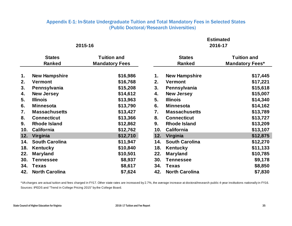#### Appendix E-1: In-State Undergraduate Tuition and Total Mandatory Fees in Selected States (Public Doctoral/Research Universities)

#### **2015-16 2016-17**

## **Estimated**

|     |                                | 2015-16                                     | <b>Estimated</b><br>2016-17    |                       |                                              |  |  |
|-----|--------------------------------|---------------------------------------------|--------------------------------|-----------------------|----------------------------------------------|--|--|
|     | <b>States</b><br><b>Ranked</b> | <b>Tuition and</b><br><b>Mandatory Fees</b> | <b>States</b><br><b>Ranked</b> |                       | <b>Tuition and</b><br><b>Mandatory Fees*</b> |  |  |
| 1.  | <b>New Hampshire</b>           | \$16,986                                    | 1.                             | <b>New Hampshire</b>  | \$17,445                                     |  |  |
| 2.  | <b>Vermont</b>                 | \$16,768                                    | 2.                             | <b>Vermont</b>        | \$17,221                                     |  |  |
| 3.  | Pennsylvania                   | \$15,208                                    | 3.                             | Pennsylvania          | \$15,618                                     |  |  |
| 4.  | <b>New Jersey</b>              | \$14,612                                    | 4.                             | <b>New Jersey</b>     | \$15,007                                     |  |  |
| 5.  | <b>Illinois</b>                | \$13,963                                    | 5.                             | <b>Illinois</b>       | \$14,340                                     |  |  |
| 6.  | <b>Minnesota</b>               | \$13,790                                    | 6.                             | <b>Minnesota</b>      | \$14,162                                     |  |  |
| 7.  | <b>Massachusetts</b>           | \$13,427                                    | 7.                             | <b>Massachusetts</b>  | \$13,789                                     |  |  |
| 8.  | <b>Connecticut</b>             | \$13,366                                    | 8.                             | <b>Connecticut</b>    | \$13,727                                     |  |  |
| 9.  | <b>Rhode Island</b>            | \$12,862                                    | 9.                             | <b>Rhode Island</b>   | \$13,209                                     |  |  |
| 10. | <b>California</b>              | \$12,762                                    | 10.                            | <b>California</b>     | \$13,107                                     |  |  |
| 12. | Virginia                       | \$12,710                                    | 12.                            | Virginia              | \$12,875                                     |  |  |
| 14. | <b>South Carolina</b>          | \$11,947                                    | 14.                            | <b>South Carolina</b> | \$12,270                                     |  |  |
| 18. | <b>Kentucky</b>                | \$10,840                                    | 18.                            | Kentucky              | \$11,133                                     |  |  |
| 22. | <b>Maryland</b>                | \$10,501                                    | 22.                            | <b>Maryland</b>       | \$10,785                                     |  |  |
| 30. | <b>Tennessee</b>               | \$8,937                                     | 30.                            | <b>Tennessee</b>      | \$9,178                                      |  |  |
| 34. | <b>Texas</b>                   | \$8,617                                     | 34.                            | <b>Texas</b>          | \$8,850                                      |  |  |
| 42. | <b>North Carolina</b>          | \$7,624                                     | 42.                            | <b>North Carolina</b> | \$7,830                                      |  |  |

\*VA charges are actual tuition and fees charged in FY17. Other state rates are increased by 2.7%, the average increase at doctoral/research public 4-year institutions nationally in FY16. Sources: IPEDS and "Trend in College Pricing 2015" by the College Board.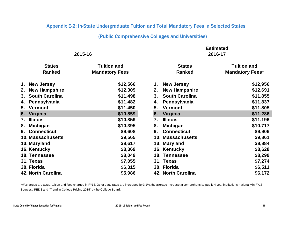#### Appendix E-2: In-State Undergraduate Tuition and Total Mandatory Fees in Selected States

#### (Public Comprehensive Colleges and Universities)

|                             | 2015-16               | <b>Estimated</b><br>2016-17 |                        |  |  |  |  |
|-----------------------------|-----------------------|-----------------------------|------------------------|--|--|--|--|
|                             |                       |                             |                        |  |  |  |  |
| <b>States</b>               | <b>Tuition and</b>    | <b>States</b>               | <b>Tuition and</b>     |  |  |  |  |
| <b>Ranked</b>               | <b>Mandatory Fees</b> | <b>Ranked</b>               | <b>Mandatory Fees*</b> |  |  |  |  |
| <b>New Jersey</b><br>1.     | \$12,566              | <b>New Jersey</b><br>1.     | \$12,956               |  |  |  |  |
| <b>New Hampshire</b><br>2.  | \$12,309              | <b>New Hampshire</b><br>2.  | \$12,691               |  |  |  |  |
| <b>South Carolina</b><br>3. | \$11,498              | <b>South Carolina</b><br>3. | \$11,855               |  |  |  |  |
| Pennsylvania<br>4.          | \$11,482              | Pennsylvania<br>4.          | \$11,837               |  |  |  |  |
| <b>Vermont</b><br>5.        | \$11,450              | 5.<br>Vermont               | \$11,805               |  |  |  |  |
| Virginia<br>6.              | \$10,859              | Virginia<br>6.              | \$11,286               |  |  |  |  |
| <b>Illinois</b><br>7.       | \$10,859              | 7.<br><b>Illinois</b>       | \$11,196               |  |  |  |  |
| <b>Michigan</b><br>8.       | \$10,395              | <b>Michigan</b><br>8.       | \$10,717               |  |  |  |  |
| <b>Connecticut</b><br>9.    | \$9,608               | 9.<br><b>Connecticut</b>    | \$9,906                |  |  |  |  |
| <b>10. Massachusetts</b>    | \$9,565               | 10. Massachusetts           | \$9,861                |  |  |  |  |
| 13. Maryland                | \$8,617               | 13. Maryland                | \$8,884                |  |  |  |  |
| 16. Kentucky                | \$8,369               | 16. Kentucky                | \$8,628                |  |  |  |  |
| 18. Tennessee               | \$8,049               | 18. Tennessee               | \$8,299                |  |  |  |  |
| 31. Texas                   | \$7,055               | 31. Texas                   | \$7,274                |  |  |  |  |
| 38. Florida                 | \$6,315               | 38. Florida                 | \$6,511                |  |  |  |  |
| <b>42. North Carolina</b>   | \$5,986               | 42. North Carolina          | \$6,172                |  |  |  |  |

\*VA charges are actual tuition and fees charged in FY16. Other state rates are increased by 3.1%, the average increase at comprehensive public 4-year institutions nationally in FY16. Sources: IPEDS and "Trend in College Pricing 2015" by the College Board.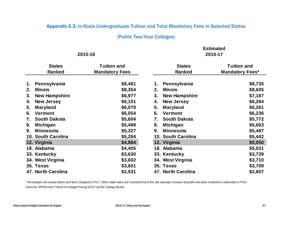#### Appendix E-3: In-State Undergraduate Tuition and Total Mandatory Fees in Selected States

#### (Public Two-Year Colleges)

**Estimated**

|    |                      | 2015-16               | <b>Estimated</b><br>2016-17 |                      |                        |  |  |
|----|----------------------|-----------------------|-----------------------------|----------------------|------------------------|--|--|
|    | <b>States</b>        | <b>Tuition and</b>    |                             | <b>States</b>        | <b>Tuition and</b>     |  |  |
|    | <b>Ranked</b>        | <b>Mandatory Fees</b> |                             | <b>Ranked</b>        | <b>Mandatory Fees*</b> |  |  |
| 1. | Pennsylvania         | \$8,481               | 1.                          | Pennsylvania         | \$8,735                |  |  |
| 2. | <b>Illinois</b>      | \$8,354               | 2.                          | <b>Illinois</b>      | \$8,605                |  |  |
| 3. | <b>New Hampshire</b> | \$6,977               | 3.                          | <b>New Hampshire</b> | \$7,187                |  |  |
| 4. | <b>New Jersey</b>    | \$6,101               | 4.                          | <b>New Jersey</b>    | \$6,284                |  |  |
| 5. | <b>Maryland</b>      | \$6,079               | 5.                          | <b>Maryland</b>      | \$6,261                |  |  |
| 6. | Vermont              | \$6,054               | 6.                          | <b>Vermont</b>       | \$6,236                |  |  |
| 7. | <b>South Dakota</b>  | \$5,604               | 7.                          | <b>South Dakota</b>  | \$5,772                |  |  |
| 8. | <b>Michigan</b>      | \$5,498               | 8.                          | <b>Michigan</b>      | \$5,663                |  |  |
| 9. | <b>Minnesota</b>     | \$5,327               | 9.                          | <b>Minnesota</b>     | \$5,487                |  |  |
|    | 10. South Carolina   | \$5,284               |                             | 10. South Carolina   | \$5,442                |  |  |
|    | 12. Virginia         | \$4,884               |                             | 12. Virginia         | \$5,050                |  |  |
|    | 18. Alabama          | \$4,405               |                             | 18. Alabama          | \$5,031                |  |  |
|    | 33. Kentucky         | \$3,630               |                             | 33. Kentucky         | \$3,739                |  |  |
|    | 34. West Virginia    | \$3,602               |                             | 34. West Virginia    | \$3,710                |  |  |
|    | 35. Texas            | \$3,601               |                             | 35. Texas            | \$3,709                |  |  |
|    | 47. North Carolina   | \$2,531               |                             | 47. North Carolina   | \$2,607                |  |  |

\*VA charges are actual tuition and fees charged in FY17. Other state rates are increased by 3.0%, the average increase at public two-year institutions nationally in FY16. Sources: IPEDS and "Trend in College Pricing 2015" by the College Board.